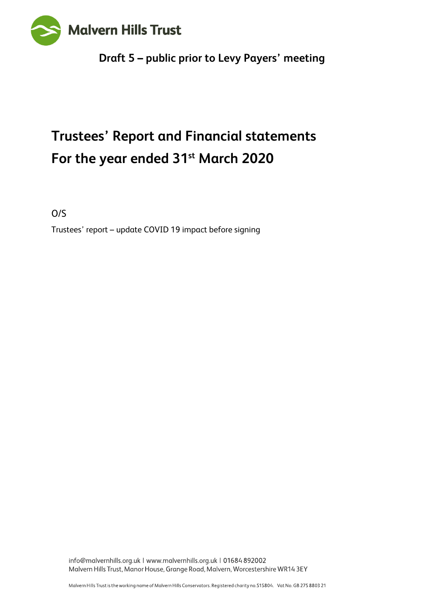

## **Draft 5 – public prior to Levy Payers' meeting**

# **Trustees' Report and Financial statements For the year ended 31st March 2020**

O/S

Trustees' report – update COVID 19 impact before signing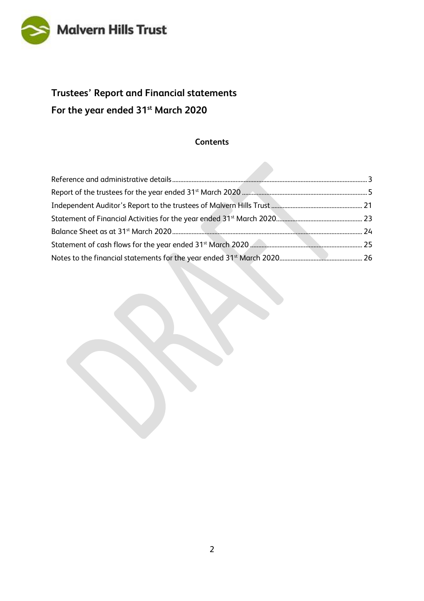

## **Trustees' Report and Financial statements For the year ended 31st March 2020**

#### **Contents**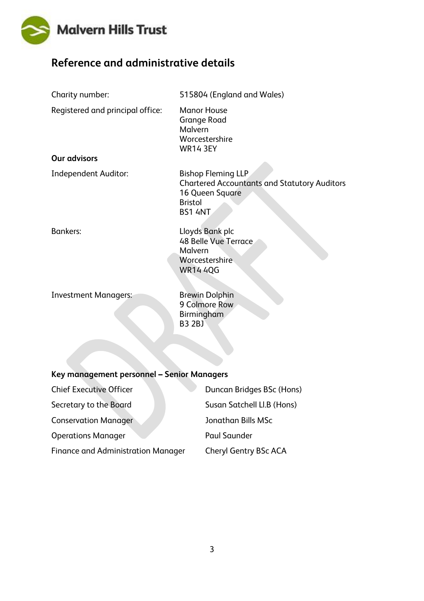

## <span id="page-2-0"></span>**Reference and administrative details**

| Charity number:                            | 515804 (England and Wales)                                                                                                              |
|--------------------------------------------|-----------------------------------------------------------------------------------------------------------------------------------------|
| Registered and principal office:           | <b>Manor House</b><br><b>Grange Road</b><br>Malvern<br>Worcestershire<br><b>WR14 3EY</b>                                                |
| <b>Our advisors</b>                        |                                                                                                                                         |
| <b>Independent Auditor:</b>                | <b>Bishop Fleming LLP</b><br><b>Chartered Accountants and Statutory Auditors</b><br>16 Queen Square<br><b>Bristol</b><br><b>BS1 4NT</b> |
| <b>Bankers:</b>                            | Lloyds Bank plc<br><b>48 Belle Vue Terrace</b><br>Malvern<br>Worcestershire<br><b>WR14 4QG</b>                                          |
| <b>Investment Managers:</b>                | <b>Brewin Dolphin</b><br>9 Colmore Row<br>Birmingham<br><b>B3 2BJ</b>                                                                   |
| Key management personnel - Senior Managers |                                                                                                                                         |
| <b>Chief Executive Officer</b>             | Duncan Bridges BSc (Hons)                                                                                                               |
| Secretary to the Board                     | Susan Satchell Ll.B (Hons)                                                                                                              |
| <b>Conservation Manager</b>                | <b>Jonathan Bills MSc</b>                                                                                                               |
| <b>Operations Manager</b>                  | <b>Paul Saunder</b>                                                                                                                     |
| <b>Finance and Administration Manager</b>  | <b>Cheryl Gentry BSc ACA</b>                                                                                                            |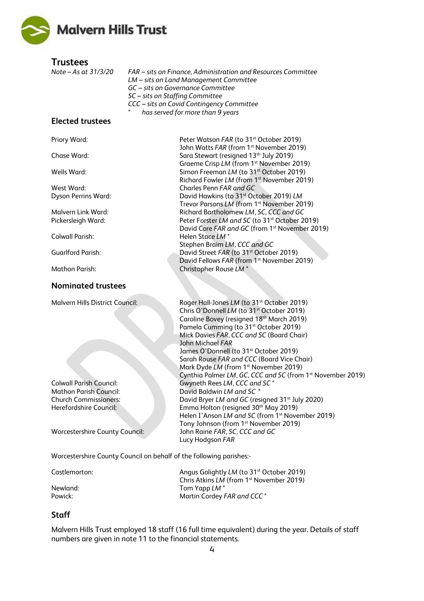

**Trustees**

*Note – As at 31/3/20 FAR* – *sits on Finance, Administration and Resources Committee LM – sits on Land Management Committee GC – sits on Governance Committee SC – sits on Staffing Committee CCC – sits on Covid Contingency Committee \* has served for more than 9 years*

#### **Elected trustees**

Priory Ward: Peter Watson *FAR* (to 31<sup>st</sup> October 2019)

Chase Ward: Chase Ward: Sara Stewart (resigned 13<sup>th</sup> July 2019)

Wells Ward: Simon Freeman *LM* (to 31<sup>st</sup> October 2019)

#### **Nominated trustees**

**Malvern Hills District Council:** 

**Colwall Parish Council: Mathon Parish Council: Church Commissioners:** Herefordshire Council:

**Worcestershire County Council:** 

Worcestershire County Council on behalf of the following parishes:-

Castlemorton: **Angus Golightly** *LM* (to 31<sup>st</sup> October 2019) Chris Atkins *LM* (from 1st November 2019) Newland: Tom Yapp *LM \** Powick: Powick: Powick: Powick: Martin Cordey *FAR* and CCC  $*$ 

#### **Staff**

Malvern Hills Trust employed 18 staff (16 full time equivalent) during the year. Details of staff numbers are given in note 11 to the financial statements.

Richard Fowler *LM* (from 1st November 2019) West Ward: Charles Penn *FAR and GC*  Dyson Perrins Ward: David Hawkins (to 31st October 2019) *LM* Trevor Parsons *LM* (from 1<sup>st</sup> November 2019) Malvern Link Ward: Richard Bartholomew *LM, SC, CCC and GC* Pickersleigh Ward: Peter Forster *LM and SC* (to 31st October 2019) David Core *FAR and GC* (from 1st November 2019) Colwall Parish: Helen Stace *LM \** Stephen Braim *LM, CCC and GC* Guarlford Parish: David Street *FAR* (to 31<sup>st</sup> October 2019) David Fellows *FAR* (from 1<sup>st</sup> November 2019) Mathon Parish: Christopher Rouse *LM* \*

John Watts *FAR* (from 1<sup>st</sup> November 2019)

Graeme Crisp *LM* (from 1<sup>st</sup> November 2019)

| Roger Hall-Jones LM (to 31 <sup>st</sup> October 2019)                 |
|------------------------------------------------------------------------|
| Chris O'Donnell LM (to 31 <sup>st</sup> October 2019)                  |
| Caroline Bovey (resigned 18th March 2019)                              |
| Pamela Cumming (to 31 <sup>st</sup> October 2019)                      |
| Mick Davies FAR, CCC and SC (Board Chair)                              |
| John Michael FAR                                                       |
| James O'Donnell (to 31 <sup>st</sup> October 2019)                     |
| Sarah Rouse FAR and CCC (Board Vice Chair)                             |
| Mark Dyde LM (from 1 <sup>st</sup> November 2019)                      |
| Cynthia Palmer LM, GC, CCC and SC (from 1 <sup>st</sup> November 2019) |
| Gwyneth Rees LM, CCC and SC*                                           |
| David Baldwin <i>I M and SC</i> *                                      |
| David Bryer LM and GC (resigned 31 <sup>st</sup> July 2020)            |
| Emma Holton (resigned 30 <sup>th</sup> May 2019)                       |
| Helen I'Anson LM and SC (from 1 <sup>st</sup> November 2019)           |
| Tony Johnson (from 1 <sup>st</sup> November 2019)                      |
| John Raine FAR, SC, CCC and GC                                         |
| Lucy Hodgson FAR                                                       |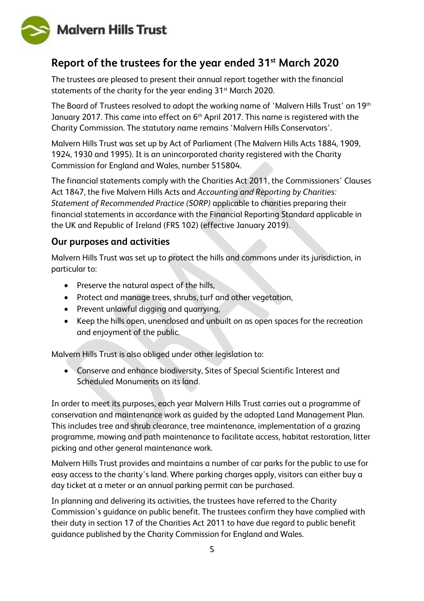

## <span id="page-4-0"></span>**Report of the trustees for the year ended 31st March 2020**

The trustees are pleased to present their annual report together with the financial statements of the charity for the year ending 31<sup>st</sup> March 2020.

The Board of Trustees resolved to adopt the working name of 'Malvern Hills Trust' on 19<sup>th</sup> January 2017. This came into effect on 6<sup>th</sup> April 2017. This name is registered with the Charity Commission. The statutory name remains 'Malvern Hills Conservators'.

Malvern Hills Trust was set up by Act of Parliament (The Malvern Hills Acts 1884, 1909, 1924, 1930 and 1995). It is an unincorporated charity registered with the Charity Commission for England and Wales, number 515804.

The financial statements comply with the Charities Act 2011, the Commissioners' Clauses Act 1847, the five Malvern Hills Acts and *Accounting and Reporting by Charities: Statement of Recommended Practice (SORP)* applicable to charities preparing their financial statements in accordance with the Financial Reporting Standard applicable in the UK and Republic of Ireland (FRS 102) (effective January 2019).

### **Our purposes and activities**

Malvern Hills Trust was set up to protect the hills and commons under its jurisdiction, in particular to:

- Preserve the natural aspect of the hills,
- Protect and manage trees, shrubs, turf and other vegetation,
- Prevent unlawful digging and quarrying,
- Keep the hills open, unenclosed and unbuilt on as open spaces for the recreation and enjoyment of the public.

Malvern Hills Trust is also obliged under other legislation to:

• Conserve and enhance biodiversity, Sites of Special Scientific Interest and Scheduled Monuments on its land.

In order to meet its purposes, each year Malvern Hills Trust carries out a programme of conservation and maintenance work as guided by the adopted Land Management Plan. This includes tree and shrub clearance, tree maintenance, implementation of a grazing programme, mowing and path maintenance to facilitate access, habitat restoration, litter picking and other general maintenance work.

Malvern Hills Trust provides and maintains a number of car parks for the public to use for easy access to the charity's land. Where parking charges apply, visitors can either buy a day ticket at a meter or an annual parking permit can be purchased.

In planning and delivering its activities, the trustees have referred to the Charity Commission's guidance on public benefit. The trustees confirm they have complied with their duty in section 17 of the Charities Act 2011 to have due regard to public benefit guidance published by the Charity Commission for England and Wales.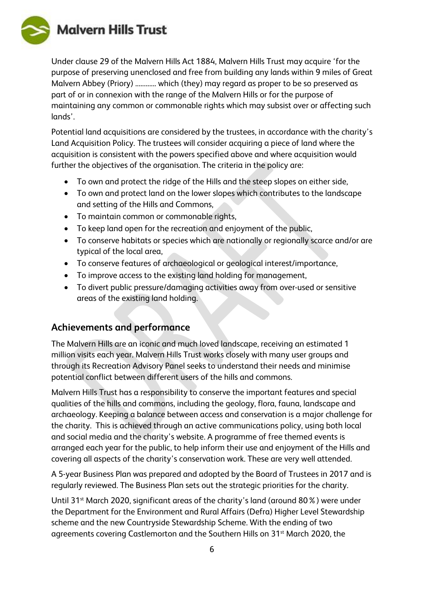**Malvern Hills Trust** 

Under clause 29 of the Malvern Hills Act 1884, Malvern Hills Trust may acquire 'for the purpose of preserving unenclosed and free from building any lands within 9 miles of Great Malvern Abbey (Priory) ............. which (they) may regard as proper to be so preserved as part of or in connexion with the range of the Malvern Hills or for the purpose of maintaining any common or commonable rights which may subsist over or affecting such lands'.

Potential land acquisitions are considered by the trustees, in accordance with the charity's Land Acquisition Policy. The trustees will consider acquiring a piece of land where the acquisition is consistent with the powers specified above and where acquisition would further the objectives of the organisation. The criteria in the policy are:

- To own and protect the ridge of the Hills and the steep slopes on either side,
- To own and protect land on the lower slopes which contributes to the landscape and setting of the Hills and Commons,
- To maintain common or commonable rights,
- To keep land open for the recreation and enjoyment of the public,
- To conserve habitats or species which are nationally or regionally scarce and/or are typical of the local area,
- To conserve features of archaeological or geological interest/importance,
- To improve access to the existing land holding for management,
- To divert public pressure/damaging activities away from over-used or sensitive areas of the existing land holding.

### **Achievements and performance**

The Malvern Hills are an iconic and much loved landscape, receiving an estimated 1 million visits each year. Malvern Hills Trust works closely with many user groups and through its Recreation Advisory Panel seeks to understand their needs and minimise potential conflict between different users of the hills and commons.

Malvern Hills Trust has a responsibility to conserve the important features and special qualities of the hills and commons, including the geology, flora, fauna, landscape and archaeology. Keeping a balance between access and conservation is a major challenge for the charity. This is achieved through an active communications policy, using both local and social media and the charity's website. A programme of free themed events is arranged each year for the public, to help inform their use and enjoyment of the Hills and covering all aspects of the charity's conservation work. These are very well attended.

A 5-year Business Plan was prepared and adopted by the Board of Trustees in 2017 and is regularly reviewed. The Business Plan sets out the strategic priorities for the charity.

Until 31<sup>st</sup> March 2020, significant areas of the charity's land (around 80%) were under the Department for the Environment and Rural Affairs (Defra) Higher Level Stewardship scheme and the new Countryside Stewardship Scheme. With the ending of two agreements covering Castlemorton and the Southern Hills on 31<sup>st</sup> March 2020, the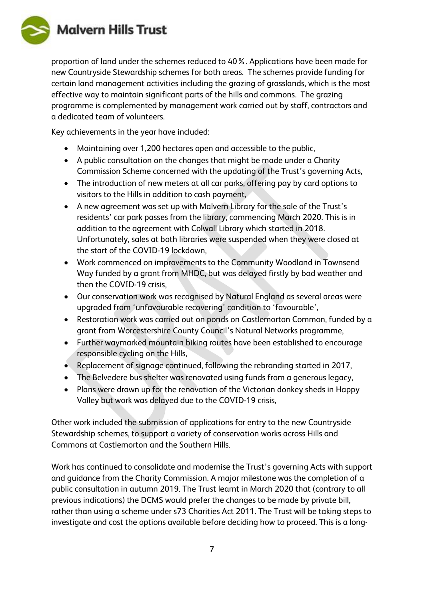

proportion of land under the schemes reduced to 40%. Applications have been made for new Countryside Stewardship schemes for both areas. The schemes provide funding for certain land management activities including the grazing of grasslands, which is the most effective way to maintain significant parts of the hills and commons. The grazing programme is complemented by management work carried out by staff, contractors and a dedicated team of volunteers.

Key achievements in the year have included:

- Maintaining over 1,200 hectares open and accessible to the public,
- A public consultation on the changes that might be made under a Charity Commission Scheme concerned with the updating of the Trust's governing Acts,
- The introduction of new meters at all car parks, offering pay by card options to visitors to the Hills in addition to cash payment,
- A new agreement was set up with Malvern Library for the sale of the Trust's residents' car park passes from the library, commencing March 2020. This is in addition to the agreement with Colwall Library which started in 2018. Unfortunately, sales at both libraries were suspended when they were closed at the start of the COVID-19 lockdown,
- Work commenced on improvements to the Community Woodland in Townsend Way funded by a grant from MHDC, but was delayed firstly by bad weather and then the COVID-19 crisis,
- Our conservation work was recognised by Natural England as several areas were upgraded from 'unfavourable recovering' condition to 'favourable',
- Restoration work was carried out on ponds on Castlemorton Common, funded by a grant from Worcestershire County Council's Natural Networks programme,
- Further waymarked mountain biking routes have been established to encourage responsible cycling on the Hills,
- Replacement of signage continued, following the rebranding started in 2017,
- The Belvedere bus shelter was renovated using funds from a generous legacy,
- Plans were drawn up for the renovation of the Victorian donkey sheds in Happy Valley but work was delayed due to the COVID-19 crisis,

Other work included the submission of applications for entry to the new Countryside Stewardship schemes, to support a variety of conservation works across Hills and Commons at Castlemorton and the Southern Hills.

Work has continued to consolidate and modernise the Trust's governing Acts with support and guidance from the Charity Commission. A major milestone was the completion of a public consultation in autumn 2019. The Trust learnt in March 2020 that (contrary to all previous indications) the DCMS would prefer the changes to be made by private bill, rather than using a scheme under s73 Charities Act 2011. The Trust will be taking steps to investigate and cost the options available before deciding how to proceed. This is a long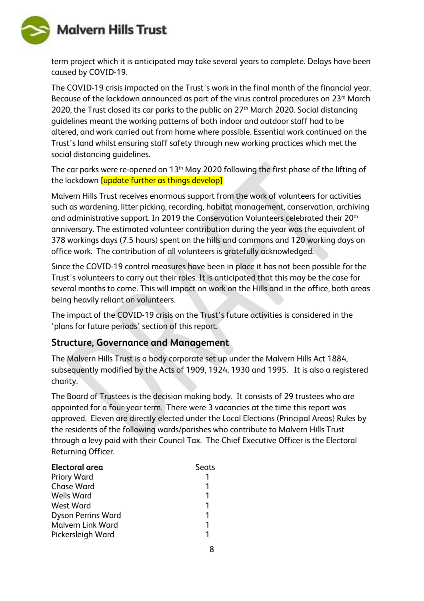**Malvern Hills Trust** 



term project which it is anticipated may take several years to complete. Delays have been caused by COVID-19.

The COVID-19 crisis impacted on the Trust's work in the final month of the financial year. Because of the lockdown announced as part of the virus control procedures on  $23<sup>rd</sup>$  March 2020, the Trust closed its car parks to the public on 27<sup>th</sup> March 2020. Social distancing guidelines meant the working patterns of both indoor and outdoor staff had to be altered, and work carried out from home where possible. Essential work continued on the Trust's land whilst ensuring staff safety through new working practices which met the social distancing guidelines.

The car parks were re-opened on 13<sup>th</sup> May 2020 following the first phase of the lifting of the lockdown [update further as things develop]

Malvern Hills Trust receives enormous support from the work of volunteers for activities such as wardening, litter picking, recording, habitat management, conservation, archiving and administrative support. In 2019 the Conservation Volunteers celebrated their 20<sup>th</sup> anniversary. The estimated volunteer contribution during the year was the equivalent of 378 workings days (7.5 hours) spent on the hills and commons and 120 working days on office work. The contribution of all volunteers is gratefully acknowledged.

Since the COVID-19 control measures have been in place it has not been possible for the Trust's volunteers to carry out their roles. It is anticipated that this may be the case for several months to come. This will impact on work on the Hills and in the office, both areas being heavily reliant on volunteers.

The impact of the COVID-19 crisis on the Trust's future activities is considered in the 'plans for future periods' section of this report.

### **Structure, Governance and Management**

The Malvern Hills Trust is a body corporate set up under the Malvern Hills Act 1884, subsequently modified by the Acts of 1909, 1924, 1930 and 1995. It is also a registered charity.

The Board of Trustees is the decision making body. It consists of 29 trustees who are appointed for a four-year term. There were 3 vacancies at the time this report was approved. Eleven are directly elected under the Local Elections (Principal Areas) Rules by the residents of the following wards/parishes who contribute to Malvern Hills Trust through a levy paid with their Council Tax. The Chief Executive Officer is the Electoral Returning Officer.

| Electoral area            | Seats |
|---------------------------|-------|
| <b>Priory Ward</b>        |       |
| <b>Chase Ward</b>         |       |
| <b>Wells Ward</b>         |       |
| <b>West Ward</b>          |       |
| <b>Dyson Perrins Ward</b> |       |
| <b>Malvern Link Ward</b>  |       |
| Pickersleigh Ward         |       |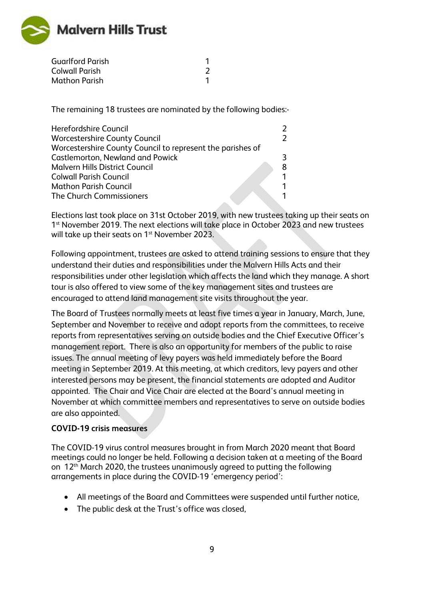

| <b>Guarlford Parish</b> |  |
|-------------------------|--|
| <b>Colwall Parish</b>   |  |
| <b>Mathon Parish</b>    |  |

The remaining 18 trustees are nominated by the following bodies:-

| Herefordshire Council                                      |   |
|------------------------------------------------------------|---|
| <b>Worcestershire County Council</b>                       | 2 |
| Worcestershire County Council to represent the parishes of |   |
| <b>Castlemorton, Newland and Powick</b>                    | २ |
| <b>Malvern Hills District Council</b>                      | 8 |
| <b>Colwall Parish Council</b>                              | 1 |
| <b>Mathon Parish Council</b>                               |   |
| The Church Commissioners                                   |   |
|                                                            |   |

Elections last took place on 31st October 2019, with new trustees taking up their seats on 1<sup>st</sup> November 2019. The next elections will take place in October 2023 and new trustees will take up their seats on 1<sup>st</sup> November 2023.

Following appointment, trustees are asked to attend training sessions to ensure that they understand their duties and responsibilities under the Malvern Hills Acts and their responsibilities under other legislation which affects the land which they manage. A short tour is also offered to view some of the key management sites and trustees are encouraged to attend land management site visits throughout the year.

The Board of Trustees normally meets at least five times a year in January, March, June, September and November to receive and adopt reports from the committees, to receive reports from representatives serving on outside bodies and the Chief Executive Officer's management report. There is also an opportunity for members of the public to raise issues. The annual meeting of levy payers was held immediately before the Board meeting in September 2019. At this meeting, at which creditors, levy payers and other interested persons may be present, the financial statements are adopted and Auditor appointed. The Chair and Vice Chair are elected at the Board's annual meeting in November at which committee members and representatives to serve on outside bodies are also appointed.

#### **COVID-19 crisis measures**

The COVID-19 virus control measures brought in from March 2020 meant that Board meetings could no longer be held. Following a decision taken at a meeting of the Board on 12<sup>th</sup> March 2020, the trustees unanimously agreed to putting the following arrangements in place during the COVID-19 'emergency period':

- All meetings of the Board and Committees were suspended until further notice,
- The public desk at the Trust's office was closed,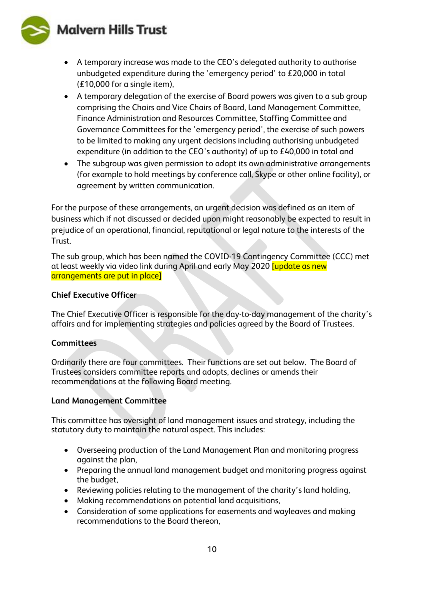**Malvern Hills Trust** 



- A temporary increase was made to the CEO's delegated authority to authorise unbudgeted expenditure during the 'emergency period' to £20,000 in total (£10,000 for a single item),
- A temporary delegation of the exercise of Board powers was given to a sub group comprising the Chairs and Vice Chairs of Board, Land Management Committee, Finance Administration and Resources Committee, Staffing Committee and Governance Committees for the 'emergency period', the exercise of such powers to be limited to making any urgent decisions including authorising unbudgeted expenditure (in addition to the CEO's authority) of up to £40,000 in total and
- The subgroup was given permission to adopt its own administrative arrangements (for example to hold meetings by conference call, Skype or other online facility), or agreement by written communication.

For the purpose of these arrangements, an urgent decision was defined as an item of business which if not discussed or decided upon might reasonably be expected to result in prejudice of an operational, financial, reputational or legal nature to the interests of the Trust.

The sub group, which has been named the COVID-19 Contingency Committee (CCC) met at least weekly via video link during April and early May 2020 [update as new arrangements are put in place]

#### **Chief Executive Officer**

The Chief Executive Officer is responsible for the day-to-day management of the charity's affairs and for implementing strategies and policies agreed by the Board of Trustees.

#### **Committees**

Ordinarily there are four committees. Their functions are set out below. The Board of Trustees considers committee reports and adopts, declines or amends their recommendations at the following Board meeting.

#### **Land Management Committee**

This committee has oversight of land management issues and strategy, including the statutory duty to maintain the natural aspect. This includes:

- Overseeing production of the Land Management Plan and monitoring progress against the plan,
- Preparing the annual land management budget and monitoring progress against the budget,
- Reviewing policies relating to the management of the charity's land holding,
- Making recommendations on potential land acquisitions,
- Consideration of some applications for easements and wayleaves and making recommendations to the Board thereon,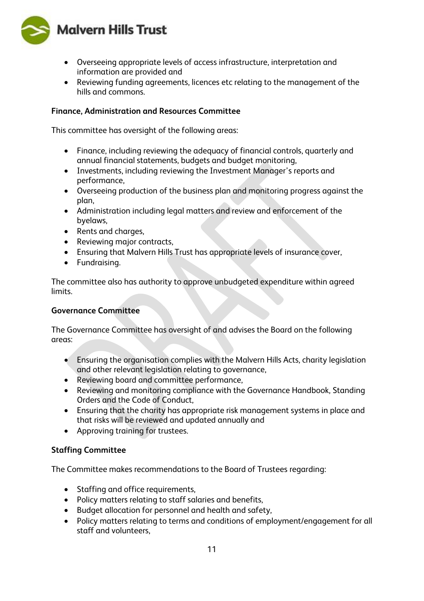

- Overseeing appropriate levels of access infrastructure, interpretation and information are provided and
- Reviewing funding agreements, licences etc relating to the management of the hills and commons.

#### **Finance, Administration and Resources Committee**

This committee has oversight of the following areas:

- Finance, including reviewing the adequacy of financial controls, quarterly and annual financial statements, budgets and budget monitoring,
- Investments, including reviewing the Investment Manager's reports and performance,
- Overseeing production of the business plan and monitoring progress against the plan,
- Administration including legal matters and review and enforcement of the byelaws,
- Rents and charges,
- Reviewing major contracts,
- Ensuring that Malvern Hills Trust has appropriate levels of insurance cover,
- Fundraising.

The committee also has authority to approve unbudgeted expenditure within agreed limits.

#### **Governance Committee**

The Governance Committee has oversight of and advises the Board on the following areas:

- Ensuring the organisation complies with the Malvern Hills Acts, charity legislation and other relevant legislation relating to governance,
- Reviewing board and committee performance,
- Reviewing and monitoring compliance with the Governance Handbook, Standing Orders and the Code of Conduct,
- Ensuring that the charity has appropriate risk management systems in place and that risks will be reviewed and updated annually and
- Approving training for trustees.

#### **Staffing Committee**

The Committee makes recommendations to the Board of Trustees regarding:

- Staffing and office requirements,
- Policy matters relating to staff salaries and benefits,
- Budget allocation for personnel and health and safety,
- Policy matters relating to terms and conditions of employment/engagement for all staff and volunteers,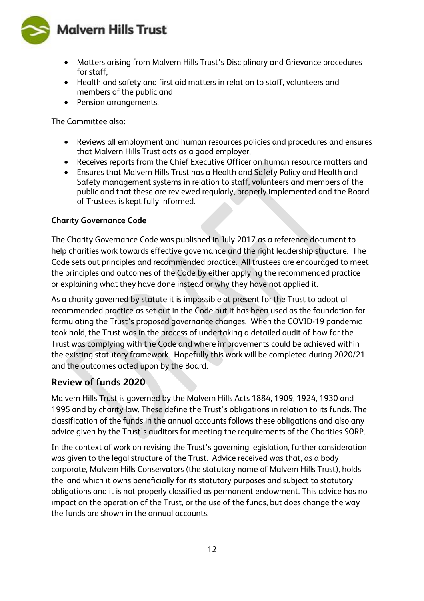**Malvern Hills Trust** 



- Matters arising from Malvern Hills Trust's Disciplinary and Grievance procedures for staff,
- Health and safety and first aid matters in relation to staff, volunteers and members of the public and
- Pension arrangements.

The Committee also:

- Reviews all employment and human resources policies and procedures and ensures that Malvern Hills Trust acts as a good employer,
- Receives reports from the Chief Executive Officer on human resource matters and
- Ensures that Malvern Hills Trust has a Health and Safety Policy and Health and Safety management systems in relation to staff, volunteers and members of the public and that these are reviewed regularly, properly implemented and the Board of Trustees is kept fully informed.

#### **Charity Governance Code**

The Charity Governance Code was published in July 2017 as a reference document to help charities work towards effective governance and the right leadership structure. The Code sets out principles and recommended practice. All trustees are encouraged to meet the principles and outcomes of the Code by either applying the recommended practice or explaining what they have done instead or why they have not applied it.

As a charity governed by statute it is impossible at present for the Trust to adopt all recommended practice as set out in the Code but it has been used as the foundation for formulating the Trust's proposed governance changes. When the COVID-19 pandemic took hold, the Trust was in the process of undertaking a detailed audit of how far the Trust was complying with the Code and where improvements could be achieved within the existing statutory framework. Hopefully this work will be completed during 2020/21 and the outcomes acted upon by the Board.

### **Review of funds 2020**

Malvern Hills Trust is governed by the Malvern Hills Acts 1884, 1909, 1924, 1930 and 1995 and by charity law. These define the Trust's obligations in relation to its funds. The classification of the funds in the annual accounts follows these obligations and also any advice given by the Trust's auditors for meeting the requirements of the Charities SORP.

In the context of work on revising the Trust's governing legislation, further consideration was given to the legal structure of the Trust. Advice received was that, as a body corporate, Malvern Hills Conservators (the statutory name of Malvern Hills Trust), holds the land which it owns beneficially for its statutory purposes and subject to statutory obligations and it is not properly classified as permanent endowment. This advice has no impact on the operation of the Trust, or the use of the funds, but does change the way the funds are shown in the annual accounts.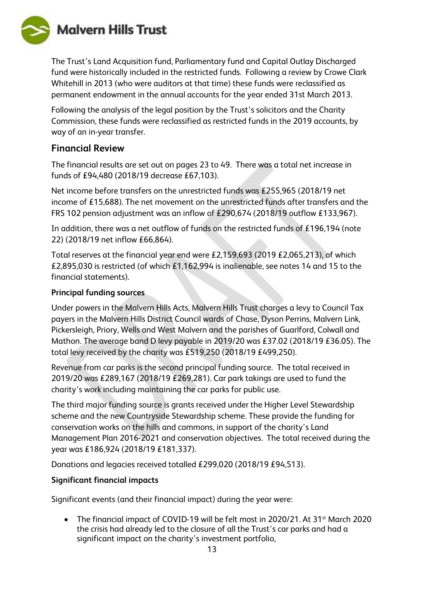

The Trust's Land Acquisition fund, Parliamentary fund and Capital Outlay Discharged fund were historically included in the restricted funds. Following a review by Crowe Clark Whitehill in 2013 (who were auditors at that time) these funds were reclassified as permanent endowment in the annual accounts for the year ended 31st March 2013.

Following the analysis of the legal position by the Trust's solicitors and the Charity Commission, these funds were reclassified as restricted funds in the 2019 accounts, by way of an in-year transfer.

#### **Financial Review**

The financial results are set out on pages 23 to 49. There was a total net increase in funds of £94,480 (2018/19 decrease £67,103).

Net income before transfers on the unrestricted funds was £255,965 (2018/19 net income of £15,688). The net movement on the unrestricted funds after transfers and the FRS 102 pension adjustment was an inflow of £290,674 (2018/19 outflow £133,967).

In addition, there was a net outflow of funds on the restricted funds of £196,194 (note 22) (2018/19 net inflow £66,864).

Total reserves at the financial year end were £2,159,693 (2019 £2,065,213), of which £2,895,030 is restricted (of which £1,162,994 is inalienable, see notes 14 and 15 to the financial statements).

#### **Principal funding sources**

Under powers in the Malvern Hills Acts, Malvern Hills Trust charges a levy to Council Tax payers in the Malvern Hills District Council wards of Chase, Dyson Perrins, Malvern Link, Pickersleigh, Priory, Wells and West Malvern and the parishes of Guarlford, Colwall and Mathon. The average band D levy payable in 2019/20 was £37.02 (2018/19 £36.05). The total levy received by the charity was £519,250 (2018/19 £499,250).

Revenue from car parks is the second principal funding source. The total received in 2019/20 was £289,167 (2018/19 £269,281). Car park takings are used to fund the charity's work including maintaining the car parks for public use.

The third major funding source is grants received under the Higher Level Stewardship scheme and the new Countryside Stewardship scheme. These provide the funding for conservation works on the hills and commons, in support of the charity's Land Management Plan 2016-2021 and conservation objectives. The total received during the year was £186,924 (2018/19 £181,337).

Donations and legacies received totalled £299,020 (2018/19 £94,513).

#### **Significant financial impacts**

Significant events (and their financial impact) during the year were:

• The financial impact of COVID-19 will be felt most in 2020/21. At 31<sup>st</sup> March 2020 the crisis had already led to the closure of all the Trust's car parks and had a significant impact on the charity's investment portfolio,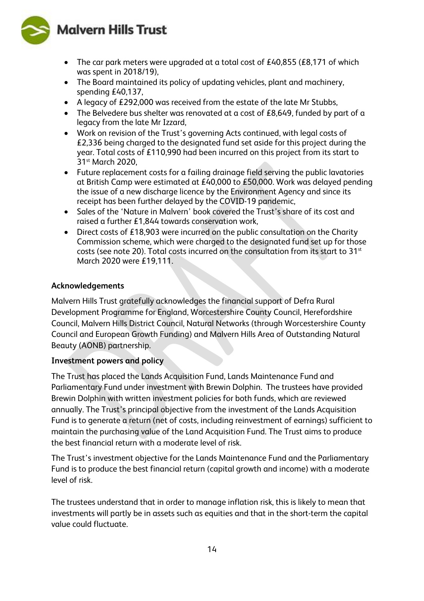**Malvern Hills Trust** 



- The car park meters were upgraded at a total cost of £40,855 (£8,171 of which was spent in 2018/19),
- The Board maintained its policy of updating vehicles, plant and machinery, spending £40,137,
- A legacy of £292,000 was received from the estate of the late Mr Stubbs,
- The Belvedere bus shelter was renovated at a cost of £8,649, funded by part of a legacy from the late Mr Izzard,
- Work on revision of the Trust's governing Acts continued, with legal costs of £2,336 being charged to the designated fund set aside for this project during the year. Total costs of £110,990 had been incurred on this project from its start to 31<sup>st</sup> March 2020.
- Future replacement costs for a failing drainage field serving the public lavatories at British Camp were estimated at £40,000 to £50,000. Work was delayed pending the issue of a new discharge licence by the Environment Agency and since its receipt has been further delayed by the COVID-19 pandemic,
- Sales of the 'Nature in Malvern' book covered the Trust's share of its cost and raised a further £1,844 towards conservation work,
- Direct costs of £18,903 were incurred on the public consultation on the Charity Commission scheme, which were charged to the designated fund set up for those costs (see note 20). Total costs incurred on the consultation from its start to 31<sup>st</sup> March 2020 were £19,111.

#### **Acknowledgements**

Malvern Hills Trust gratefully acknowledges the financial support of Defra Rural Development Programme for England, Worcestershire County Council, Herefordshire Council, Malvern Hills District Council, Natural Networks (through Worcestershire County Council and European Growth Funding) and Malvern Hills Area of Outstanding Natural Beauty (AONB) partnership.

#### **Investment powers and policy**

The Trust has placed the Lands Acquisition Fund, Lands Maintenance Fund and Parliamentary Fund under investment with Brewin Dolphin. The trustees have provided Brewin Dolphin with written investment policies for both funds, which are reviewed annually. The Trust's principal objective from the investment of the Lands Acquisition Fund is to generate a return (net of costs, including reinvestment of earnings) sufficient to maintain the purchasing value of the Land Acquisition Fund. The Trust aims to produce the best financial return with a moderate level of risk.

The Trust's investment objective for the Lands Maintenance Fund and the Parliamentary Fund is to produce the best financial return (capital growth and income) with a moderate level of risk.

The trustees understand that in order to manage inflation risk, this is likely to mean that investments will partly be in assets such as equities and that in the short-term the capital value could fluctuate.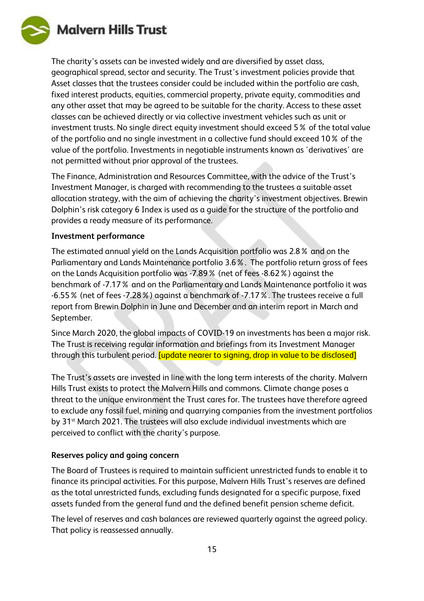

The charity's assets can be invested widely and are diversified by asset class, geographical spread, sector and security. The Trust's investment policies provide that Asset classes that the trustees consider could be included within the portfolio are cash, fixed interest products, equities, commercial property, private equity, commodities and any other asset that may be agreed to be suitable for the charity. Access to these asset classes can be achieved directly or via collective investment vehicles such as unit or investment trusts. No single direct equity investment should exceed 5% of the total value of the portfolio and no single investment in a collective fund should exceed 10% of the value of the portfolio. Investments in negotiable instruments known as 'derivatives' are not permitted without prior approval of the trustees.

The Finance, Administration and Resources Committee, with the advice of the Trust's Investment Manager, is charged with recommending to the trustees a suitable asset allocation strategy, with the aim of achieving the charity's investment objectives. Brewin Dolphin's risk category 6 Index is used as a guide for the structure of the portfolio and provides a ready measure of its performance.

#### **Investment performance**

The estimated annual yield on the Lands Acquisition portfolio was 2.8% and on the Parliamentary and Lands Maintenance portfolio 3.6%. The portfolio return gross of fees on the Lands Acquisition portfolio was -7.89% (net of fees -8.62%) against the benchmark of -7.17% and on the Parliamentary and Lands Maintenance portfolio it was -6.55% (net of fees -7.28%) against a benchmark of -7.17%. The trustees receive a full report from Brewin Dolphin in June and December and an interim report in March and September.

Since March 2020, the global impacts of COVID-19 on investments has been a major risk. The Trust is receiving regular information and briefings from its Investment Manager through this turbulent period. [update nearer to signing, drop in value to be disclosed]

The Trust's assets are invested in line with the long term interests of the charity. Malvern Hills Trust exists to protect the Malvern Hills and commons. Climate change poses a threat to the unique environment the Trust cares for. The trustees have therefore agreed to exclude any fossil fuel, mining and quarrying companies from the investment portfolios by 31<sup>st</sup> March 2021. The trustees will also exclude individual investments which are perceived to conflict with the charity's purpose.

#### **Reserves policy and going concern**

The Board of Trustees is required to maintain sufficient unrestricted funds to enable it to finance its principal activities. For this purpose, Malvern Hills Trust's reserves are defined as the total unrestricted funds, excluding funds designated for a specific purpose, fixed assets funded from the general fund and the defined benefit pension scheme deficit.

The level of reserves and cash balances are reviewed quarterly against the agreed policy. That policy is reassessed annually.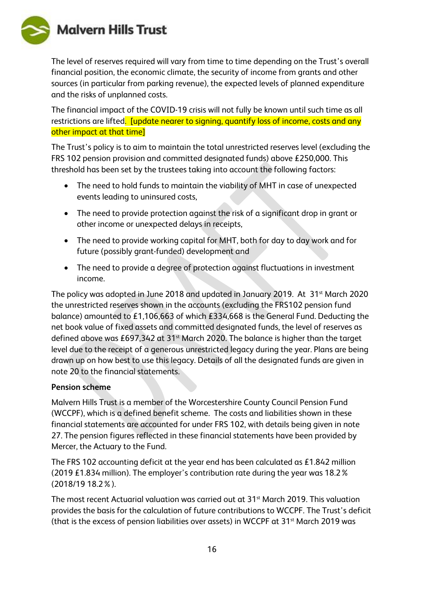

The level of reserves required will vary from time to time depending on the Trust's overall financial position, the economic climate, the security of income from grants and other sources (in particular from parking revenue), the expected levels of planned expenditure and the risks of unplanned costs.

The financial impact of the COVID-19 crisis will not fully be known until such time as all restrictions are lifted. [update nearer to signing, quantify loss of income, costs and any other impact at that time]

The Trust's policy is to aim to maintain the total unrestricted reserves level (excluding the FRS 102 pension provision and committed designated funds) above £250,000. This threshold has been set by the trustees taking into account the following factors:

- The need to hold funds to maintain the viability of MHT in case of unexpected events leading to uninsured costs,
- The need to provide protection against the risk of a significant drop in grant or other income or unexpected delays in receipts,
- The need to provide working capital for MHT, both for day to day work and for future (possibly grant-funded) development and
- The need to provide a degree of protection against fluctuations in investment income.

The policy was adopted in June 2018 and updated in January 2019. At 31<sup>st</sup> March 2020 the unrestricted reserves shown in the accounts (excluding the FRS102 pension fund balance) amounted to £1,106,663 of which £334,668 is the General Fund. Deducting the net book value of fixed assets and committed designated funds, the level of reserves as defined above was £697,342 at 31<sup>st</sup> March 2020. The balance is higher than the target level due to the receipt of a generous unrestricted legacy during the year. Plans are being drawn up on how best to use this legacy. Details of all the designated funds are given in note 20 to the financial statements.

#### **Pension scheme**

Malvern Hills Trust is a member of the Worcestershire County Council Pension Fund (WCCPF), which is a defined benefit scheme. The costs and liabilities shown in these financial statements are accounted for under FRS 102, with details being given in note 27. The pension figures reflected in these financial statements have been provided by Mercer, the Actuary to the Fund.

The FRS 102 accounting deficit at the year end has been calculated as £1.842 million (2019 £1.834 million). The employer's contribution rate during the year was 18.2% (2018/19 18.2%).

The most recent Actuarial valuation was carried out at 31<sup>st</sup> March 2019. This valuation provides the basis for the calculation of future contributions to WCCPF. The Trust's deficit (that is the excess of pension liabilities over assets) in WCCPF at 31st March 2019 was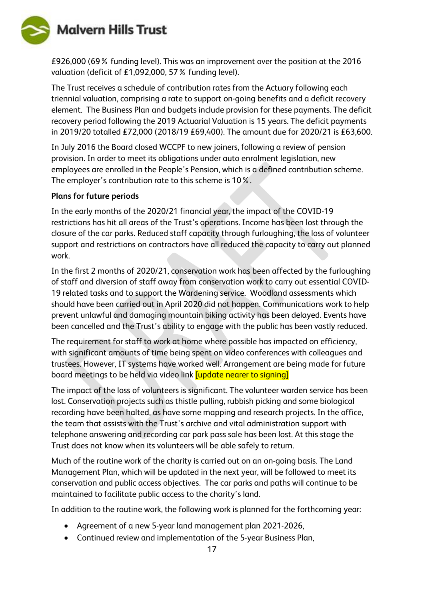

£926,000 (69% funding level). This was an improvement over the position at the 2016 valuation (deficit of £1,092,000, 57% funding level).

The Trust receives a schedule of contribution rates from the Actuary following each triennial valuation, comprising a rate to support on-going benefits and a deficit recovery element. The Business Plan and budgets include provision for these payments. The deficit recovery period following the 2019 Actuarial Valuation is 15 years. The deficit payments in 2019/20 totalled £72,000 (2018/19 £69,400). The amount due for 2020/21 is £63,600.

In July 2016 the Board closed WCCPF to new joiners, following a review of pension provision. In order to meet its obligations under auto enrolment legislation, new employees are enrolled in the People's Pension, which is a defined contribution scheme. The employer's contribution rate to this scheme is 10%.

#### **Plans for future periods**

In the early months of the 2020/21 financial year, the impact of the COVID-19 restrictions has hit all areas of the Trust's operations. Income has been lost through the closure of the car parks. Reduced staff capacity through furloughing, the loss of volunteer support and restrictions on contractors have all reduced the capacity to carry out planned work.

In the first 2 months of 2020/21, conservation work has been affected by the furloughing of staff and diversion of staff away from conservation work to carry out essential COVID-19 related tasks and to support the Wardening service. Woodland assessments which should have been carried out in April 2020 did not happen. Communications work to help prevent unlawful and damaging mountain biking activity has been delayed. Events have been cancelled and the Trust's ability to engage with the public has been vastly reduced.

The requirement for staff to work at home where possible has impacted on efficiency, with significant amounts of time being spent on video conferences with colleagues and trustees. However, IT systems have worked well. Arrangement are being made for future board meetings to be held via video link [update nearer to signing]

The impact of the loss of volunteers is significant. The volunteer warden service has been lost. Conservation projects such as thistle pulling, rubbish picking and some biological recording have been halted, as have some mapping and research projects. In the office, the team that assists with the Trust's archive and vital administration support with telephone answering and recording car park pass sale has been lost. At this stage the Trust does not know when its volunteers will be able safely to return.

Much of the routine work of the charity is carried out on an on-going basis. The Land Management Plan, which will be updated in the next year, will be followed to meet its conservation and public access objectives. The car parks and paths will continue to be maintained to facilitate public access to the charity's land.

In addition to the routine work, the following work is planned for the forthcoming year:

- Agreement of a new 5-year land management plan 2021-2026,
- Continued review and implementation of the 5-year Business Plan,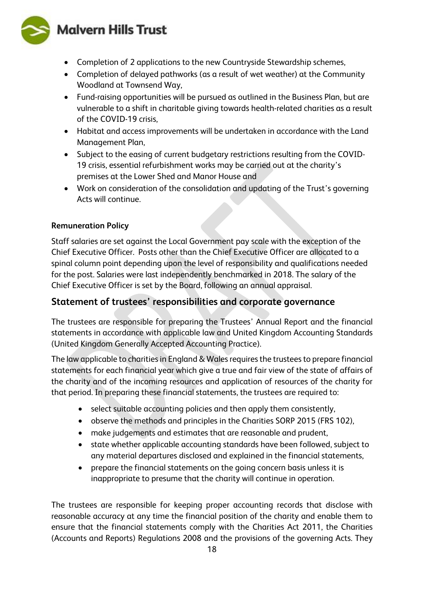## **Malvern Hills Trust**



- Completion of 2 applications to the new Countryside Stewardship schemes,
- Completion of delayed pathworks (as a result of wet weather) at the Community Woodland at Townsend Way,
- Fund-raising opportunities will be pursued as outlined in the Business Plan, but are vulnerable to a shift in charitable giving towards health-related charities as a result of the COVID-19 crisis,
- Habitat and access improvements will be undertaken in accordance with the Land Management Plan,
- Subject to the easing of current budgetary restrictions resulting from the COVID-19 crisis, essential refurbishment works may be carried out at the charity's premises at the Lower Shed and Manor House and
- Work on consideration of the consolidation and updating of the Trust's governing Acts will continue.

#### **Remuneration Policy**

Staff salaries are set against the Local Government pay scale with the exception of the Chief Executive Officer. Posts other than the Chief Executive Officer are allocated to a spinal column point depending upon the level of responsibility and qualifications needed for the post. Salaries were last independently benchmarked in 2018. The salary of the Chief Executive Officer is set by the Board, following an annual appraisal.

#### **Statement of trustees' responsibilities and corporate governance**

The trustees are responsible for preparing the Trustees' Annual Report and the financial statements in accordance with applicable law and United Kingdom Accounting Standards (United Kingdom Generally Accepted Accounting Practice).

The law applicable to charities in England & Wales requires the trustees to prepare financial statements for each financial year which give a true and fair view of the state of affairs of the charity and of the incoming resources and application of resources of the charity for that period. In preparing these financial statements, the trustees are required to:

- select suitable accounting policies and then apply them consistently,
- observe the methods and principles in the Charities SORP 2015 (FRS 102),
- make judgements and estimates that are reasonable and prudent,
- state whether applicable accounting standards have been followed, subject to any material departures disclosed and explained in the financial statements,
- prepare the financial statements on the going concern basis unless it is inappropriate to presume that the charity will continue in operation.

The trustees are responsible for keeping proper accounting records that disclose with reasonable accuracy at any time the financial position of the charity and enable them to ensure that the financial statements comply with the Charities Act 2011, the Charities (Accounts and Reports) Regulations 2008 and the provisions of the governing Acts. They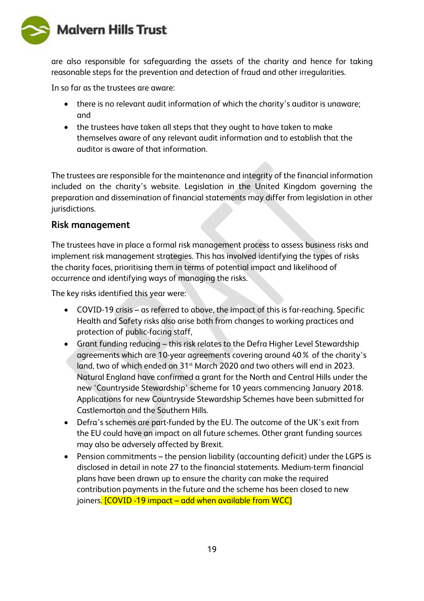

are also responsible for safeguarding the assets of the charity and hence for taking reasonable steps for the prevention and detection of fraud and other irregularities.

In so far as the trustees are aware:

- there is no relevant audit information of which the charity's auditor is unaware; and
- the trustees have taken all steps that they ought to have taken to make themselves aware of any relevant audit information and to establish that the auditor is aware of that information.

The trustees are responsible for the maintenance and integrity of the financial information included on the charity's website. Legislation in the United Kingdom governing the preparation and dissemination of financial statements may differ from legislation in other jurisdictions.

#### **Risk management**

The trustees have in place a formal risk management process to assess business risks and implement risk management strategies. This has involved identifying the types of risks the charity faces, prioritising them in terms of potential impact and likelihood of occurrence and identifying ways of managing the risks.

The key risks identified this year were:

- COVID-19 crisis as referred to above, the impact of this is far-reaching. Specific Health and Safety risks also arise both from changes to working practices and protection of public-facing staff,
- Grant funding reducing this risk relates to the Defra Higher Level Stewardship agreements which are 10-year agreements covering around 40% of the charity's land, two of which ended on 31<sup>st</sup> March 2020 and two others will end in 2023. Natural England have confirmed a grant for the North and Central Hills under the new 'Countryside Stewardship' scheme for 10 years commencing January 2018. Applications for new Countryside Stewardship Schemes have been submitted for Castlemorton and the Southern Hills.
- Defra's schemes are part-funded by the EU. The outcome of the UK's exit from the EU could have an impact on all future schemes. Other grant funding sources may also be adversely affected by Brexit.
- Pension commitments the pension liability (accounting deficit) under the LGPS is disclosed in detail in note 27 to the financial statements. Medium-term financial plans have been drawn up to ensure the charity can make the required contribution payments in the future and the scheme has been closed to new joiners. [COVID -19 impact – add when available from WCC]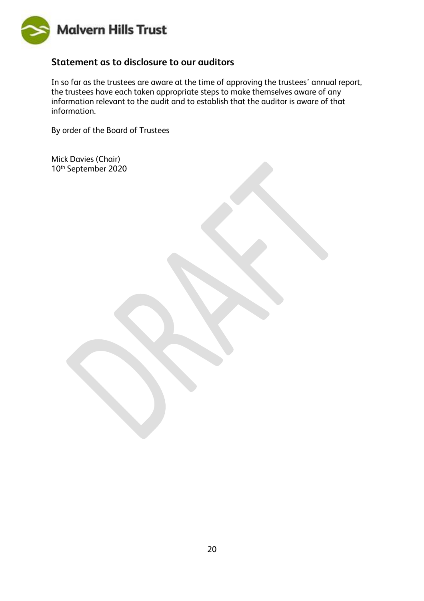

#### **Statement as to disclosure to our auditors**

In so far as the trustees are aware at the time of approving the trustees' annual report, the trustees have each taken appropriate steps to make themselves aware of any information relevant to the audit and to establish that the auditor is aware of that information.

By order of the Board of Trustees

Mick Davies (Chair) 10th September 2020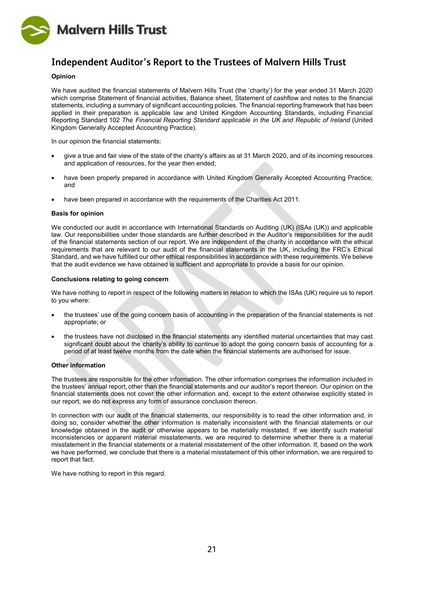

### **Independent Auditor's Report to the Trustees of Malvern Hills Trust**

#### **Opinion**

We have audited the financial statements of Malvern Hills Trust (the 'charity') for the year ended 31 March 2020 which comprise Statement of financial activities, Balance sheet, Statement of cashflow and notes to the financial statements, including a summary of significant accounting policies. The financial reporting framework that has been applied in their preparation is applicable law and United Kingdom Accounting Standards, including Financial Reporting Standard 102 *The Financial Reporting Standard applicable in the UK and Republic of Ireland* (United Kingdom Generally Accepted Accounting Practice).

In our opinion the financial statements:

- give a true and fair view of the state of the charity's affairs as at 31 March 2020, and of its incoming resources and application of resources, for the year then ended;
- have been properly prepared in accordance with United Kingdom Generally Accepted Accounting Practice; and
- have been prepared in accordance with the requirements of the Charities Act 2011.

#### **Basis for opinion**

We conducted our audit in accordance with International Standards on Auditing (UK) (ISAs (UK)) and applicable law. Our responsibilities under those standards are further described in the Auditor's responsibilities for the audit of the financial statements section of our report. We are independent of the charity in accordance with the ethical requirements that are relevant to our audit of the financial statements in the UK, including the FRC's Ethical Standard, and we have fulfilled our other ethical responsibilities in accordance with these requirements. We believe that the audit evidence we have obtained is sufficient and appropriate to provide a basis for our opinion.

#### **Conclusions relating to going concern**

We have nothing to report in respect of the following matters in relation to which the ISAs (UK) require us to report to you where:

- the trustees' use of the going concern basis of accounting in the preparation of the financial statements is not appropriate; or
- the trustees have not disclosed in the financial statements any identified material uncertainties that may cast significant doubt about the charity's ability to continue to adopt the going concern basis of accounting for a period of at least twelve months from the date when the financial statements are authorised for issue.

#### **Other information**

The trustees are responsible for the other information. The other information comprises the information included in the trustees' annual report, other than the financial statements and our auditor's report thereon. Our opinion on the financial statements does not cover the other information and, except to the extent otherwise explicitly stated in our report, we do not express any form of assurance conclusion thereon.

In connection with our audit of the financial statements, our responsibility is to read the other information and, in doing so, consider whether the other information is materially inconsistent with the financial statements or our knowledge obtained in the audit or otherwise appears to be materially misstated. If we identify such material inconsistencies or apparent material misstatements, we are required to determine whether there is a material misstatement in the financial statements or a material misstatement of the other information. If, based on the work we have performed, we conclude that there is a material misstatement of this other information, we are required to report that fact.

We have nothing to report in this regard.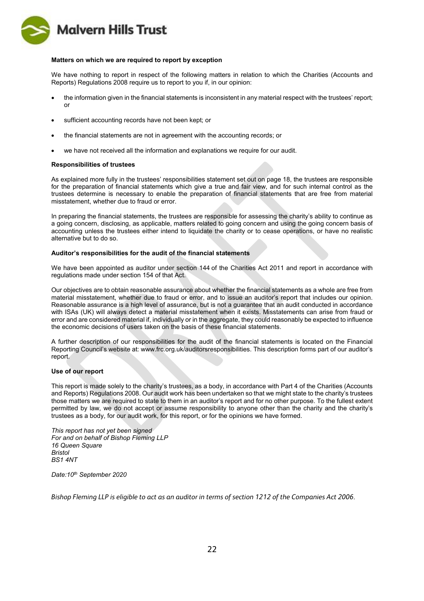

#### **Matters on which we are required to report by exception**

We have nothing to report in respect of the following matters in relation to which the Charities (Accounts and Reports) Regulations 2008 require us to report to you if, in our opinion:

- the information given in the financial statements is inconsistent in any material respect with the trustees' report; or
- sufficient accounting records have not been kept; or
- the financial statements are not in agreement with the accounting records; or
- we have not received all the information and explanations we require for our audit.

#### **Responsibilities of trustees**

As explained more fully in the trustees' responsibilities statement set out on page 18, the trustees are responsible for the preparation of financial statements which give a true and fair view, and for such internal control as the trustees determine is necessary to enable the preparation of financial statements that are free from material misstatement, whether due to fraud or error.

In preparing the financial statements, the trustees are responsible for assessing the charity's ability to continue as a going concern, disclosing, as applicable, matters related to going concern and using the going concern basis of accounting unless the trustees either intend to liquidate the charity or to cease operations, or have no realistic alternative but to do so.

#### **Auditor's responsibilities for the audit of the financial statements**

We have been appointed as auditor under section 144 of the Charities Act 2011 and report in accordance with regulations made under section 154 of that Act.

Our objectives are to obtain reasonable assurance about whether the financial statements as a whole are free from material misstatement, whether due to fraud or error, and to issue an auditor's report that includes our opinion. Reasonable assurance is a high level of assurance, but is not a guarantee that an audit conducted in accordance with ISAs (UK) will always detect a material misstatement when it exists. Misstatements can arise from fraud or error and are considered material if, individually or in the aggregate, they could reasonably be expected to influence the economic decisions of users taken on the basis of these financial statements.

A further description of our responsibilities for the audit of the financial statements is located on the Financial Reporting Council's website at: www.frc.org.uk/auditorsresponsibilities. This description forms part of our auditor's report.

#### **Use of our report**

This report is made solely to the charity's trustees, as a body, in accordance with Part 4 of the Charities (Accounts and Reports) Regulations 2008. Our audit work has been undertaken so that we might state to the charity's trustees those matters we are required to state to them in an auditor's report and for no other purpose. To the fullest extent permitted by law, we do not accept or assume responsibility to anyone other than the charity and the charity's trustees as a body, for our audit work, for this report, or for the opinions we have formed.

*This report has not yet been signed For and on behalf of Bishop Fleming LLP 16 Queen Square Bristol BS1 4NT*

*Date:10th September 2020*

*Bishop Fleming LLP is eligible to act as an auditor in terms of section 1212 of the Companies Act 2006.*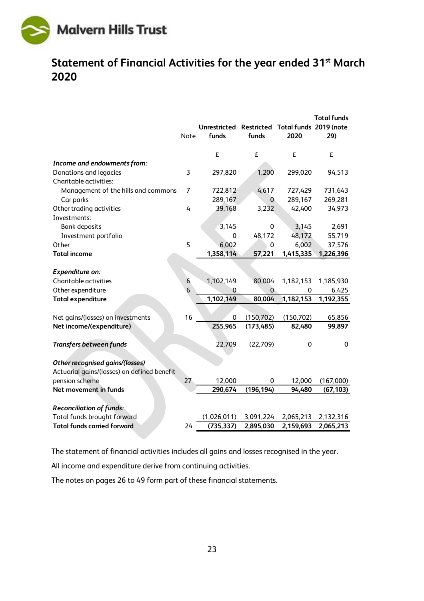

## <span id="page-22-0"></span>**Statement of Financial Activities for the year ended 31st March 2020**

|                                                                                | Note           | Unrestricted Restricted Total funds 2019 (note<br>funds | funds        | 2020       | <b>Total funds</b><br>29) |
|--------------------------------------------------------------------------------|----------------|---------------------------------------------------------|--------------|------------|---------------------------|
|                                                                                |                | £                                                       | £            | £          | £                         |
| Income and endowments from:                                                    |                |                                                         |              |            |                           |
| Donations and legacies                                                         | 3              | 297,820                                                 | 1,200        | 299,020    | 94,513                    |
| Charitable activities:                                                         |                |                                                         |              |            |                           |
| Management of the hills and commons                                            | $\overline{7}$ | 722,812                                                 | 4,617        | 727,429    | 731,643                   |
| Car parks                                                                      |                | 289,167                                                 | $\mathbf{0}$ | 289,167    | 269,281                   |
| Other trading activities                                                       | 4              | 39,168                                                  | 3,232        | 42,400     | 34,973                    |
| Investments:                                                                   |                |                                                         |              |            |                           |
| <b>Bank deposits</b>                                                           |                | 3,145                                                   | 0            | 3,145      | 2,691                     |
| Investment portfolio                                                           |                | $\mathbf 0$                                             | 48,172       | 48,172     | 55,719                    |
| Other                                                                          | 5              | 6,002                                                   | $\mathbf 0$  | 6,002      | 37,576                    |
| <b>Total income</b>                                                            |                | 1,358,114                                               | 57,221       | 1,415,335  | 1,226,396                 |
| Expenditure on:                                                                |                |                                                         |              |            |                           |
| Charitable activities                                                          | 6              | 1,102,149                                               | 80,004       | 1,182,153  | 1,185,930                 |
| Other expenditure                                                              | 6              | 0                                                       | $\mathbf{0}$ | 0          | 6,425                     |
| <b>Total expenditure</b>                                                       |                | 1,102,149                                               | 80,004       | 1,182,153  | 1,192,355                 |
|                                                                                |                |                                                         |              |            |                           |
| Net gains/(losses) on investments                                              | 16             | $\mathbf 0$                                             | (150, 702)   | (150, 702) | 65,856                    |
| Net income/(expenditure)                                                       |                | 255,965                                                 | (173, 485)   | 82,480     | 99,897                    |
| <b>Transfers between funds</b>                                                 |                | 22,709                                                  | (22,709)     | 0          | $\mathbf 0$               |
| Other recognised gains/(losses)<br>Actuarial gains/(losses) on defined benefit |                |                                                         |              |            |                           |
| pension scheme                                                                 | 27             | 12,000                                                  | 0            | 12,000     | (167,000)                 |
| Net movement in funds                                                          |                | 290,674                                                 | (196, 194)   | 94,480     | (67, 103)                 |
|                                                                                |                |                                                         |              |            |                           |
| <b>Reconciliation of funds:</b>                                                |                |                                                         |              |            |                           |
| Total funds brought forward                                                    |                | (1,026,011)                                             | 3,091,224    | 2,065,213  | 2,132,316                 |
| <b>Total funds carried forward</b>                                             | 24             | (735, 337)                                              | 2,895,030    | 2,159,693  | 2,065,213                 |

The statement of financial activities includes all gains and losses recognised in the year.

All income and expenditure derive from continuing activities.

The notes on pages 26 to 49 form part of these financial statements.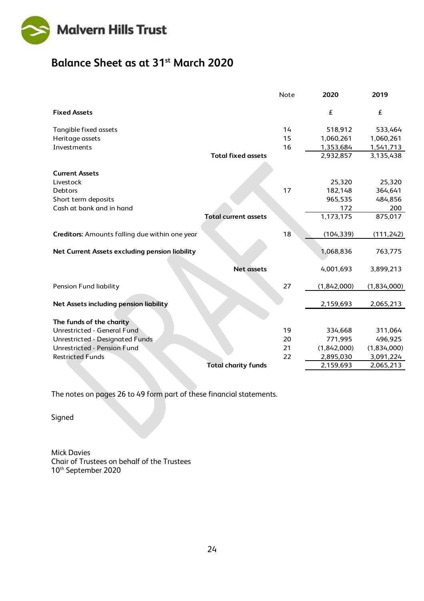

## <span id="page-23-0"></span>**Balance Sheet as at 31st March 2020**

|                                                |                             | Note | 2020        | 2019        |
|------------------------------------------------|-----------------------------|------|-------------|-------------|
| <b>Fixed Assets</b>                            |                             |      | £           | £           |
| Tangible fixed assets                          |                             | 14   | 518,912     | 533,464     |
| Heritage assets                                |                             | 15   | 1,060,261   | 1,060,261   |
| Investments                                    |                             | 16   | 1,353,684   | 1,541,713   |
|                                                | <b>Total fixed assets</b>   |      | 2,932,857   | 3,135,438   |
| <b>Current Assets</b>                          |                             |      |             |             |
| Livestock                                      |                             |      | 25,320      | 25,320      |
| Debtors                                        |                             | 17   | 182,148     | 364,641     |
| Short term deposits                            |                             |      | 965,535     | 484,856     |
| Cash at bank and in hand                       |                             |      | 172         | 200         |
|                                                | <b>Total current assets</b> |      | 1,173,175   | 875,017     |
|                                                |                             |      |             |             |
| Creditors: Amounts falling due within one year |                             | 18   | (104, 339)  | (111, 242)  |
| Net Current Assets excluding pension liability |                             |      | 1,068,836   | 763,775     |
|                                                | <b>Net assets</b>           |      | 4,001,693   | 3,899,213   |
| <b>Pension Fund liability</b>                  |                             | 27   | (1,842,000) | (1,834,000) |
| Net Assets including pension liability         |                             |      | 2,159,693   | 2,065,213   |
| The funds of the charity                       |                             |      |             |             |
| Unrestricted - General Fund                    |                             | 19   | 334,668     | 311,064     |
| Unrestricted - Designated Funds                |                             | 20   | 771,995     | 496,925     |
| Unrestricted - Pension Fund                    |                             | 21   | (1,842,000) | (1,834,000) |
| <b>Restricted Funds</b>                        |                             | 22   | 2,895,030   | 3,091,224   |
|                                                | <b>Total charity funds</b>  |      | 2,159,693   | 2,065,213   |
|                                                |                             |      |             |             |

The notes on pages 26 to 49 form part of these financial statements.

Signed

Mick Davies Chair of Trustees on behalf of the Trustees 10th September 2020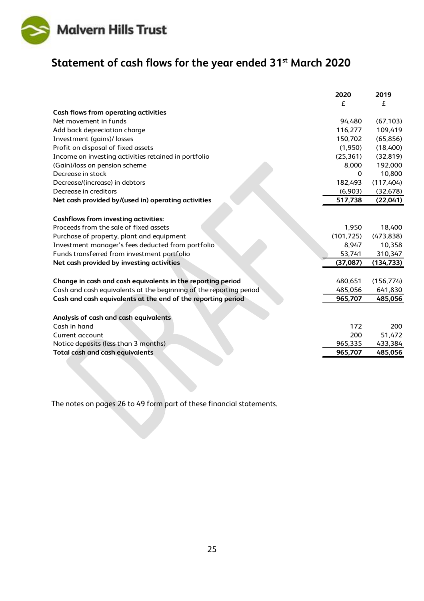

## <span id="page-24-0"></span>**Statement of cash flows for the year ended 31st March 2020**

|                                                                    | 2020       | 2019       |
|--------------------------------------------------------------------|------------|------------|
|                                                                    | £          | f          |
| <b>Cash flows from operating activities</b>                        |            |            |
| Net movement in funds                                              | 94,480     | (67, 103)  |
| Add back depreciation charge                                       | 116,277    | 109,419    |
| Investment (gains)/ losses                                         | 150,702    | (65, 856)  |
| Profit on disposal of fixed assets                                 | (1,950)    | (18,400)   |
| Income on investing activities retained in portfolio               | (25, 361)  | (32, 819)  |
| (Gain)/loss on pension scheme                                      | 8,000      | 192,000    |
| Decrease in stock                                                  | 0          | 10,800     |
| Decrease/(increase) in debtors                                     | 182,493    | (117, 404) |
| Decrease in creditors                                              | (6,903)    | (32, 678)  |
| Net cash provided by/(used in) operating activities                | 517,738    | (22,041)   |
|                                                                    |            |            |
| <b>Cashflows from investing activities:</b>                        |            |            |
| Proceeds from the sale of fixed assets                             | 1,950      | 18,400     |
| Purchase of property, plant and equipment                          | (101, 725) | (473, 838) |
| Investment manager's fees deducted from portfolio                  | 8,947      | 10,358     |
| Funds transferred from investment portfolio                        | 53,741     | 310,347    |
| Net cash provided by investing activities                          | (37,087)   | (134, 733) |
|                                                                    |            |            |
| Change in cash and cash equivalents in the reporting period        | 480,651    | (156, 774) |
| Cash and cash equivalents at the beginning of the reporting period | 485,056    | 641,830    |
| Cash and cash equivalents at the end of the reporting period       | 965,707    | 485,056    |
|                                                                    |            |            |
| Analysis of cash and cash equivalents                              |            |            |
| Cash in hand                                                       | 172        | 200        |
| Current account                                                    | 200        | 51,472     |
| Notice deposits (less than 3 months)                               | 965,335    | 433,384    |
| Total cash and cash equivalents                                    | 965,707    | 485,056    |
|                                                                    |            |            |

The notes on pages 26 to 49 form part of these financial statements.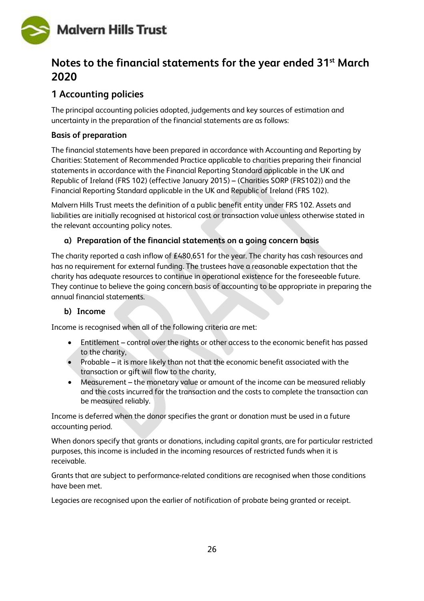

## <span id="page-25-0"></span>**Notes to the financial statements for the year ended 31st March 2020**

### **1 Accounting policies**

The principal accounting policies adopted, judgements and key sources of estimation and uncertainty in the preparation of the financial statements are as follows:

#### **Basis of preparation**

The financial statements have been prepared in accordance with Accounting and Reporting by Charities: Statement of Recommended Practice applicable to charities preparing their financial statements in accordance with the Financial Reporting Standard applicable in the UK and Republic of Ireland (FRS 102) (effective January 2015) – (Charities SORP (FRS102)) and the Financial Reporting Standard applicable in the UK and Republic of Ireland (FRS 102).

Malvern Hills Trust meets the definition of a public benefit entity under FRS 102. Assets and liabilities are initially recognised at historical cost or transaction value unless otherwise stated in the relevant accounting policy notes.

#### **a) Preparation of the financial statements on a going concern basis**

The charity reported a cash inflow of £480,651 for the year. The charity has cash resources and has no requirement for external funding. The trustees have a reasonable expectation that the charity has adequate resources to continue in operational existence for the foreseeable future. They continue to believe the going concern basis of accounting to be appropriate in preparing the annual financial statements.

#### **b) Income**

Income is recognised when all of the following criteria are met:

- Entitlement control over the rights or other access to the economic benefit has passed to the charity,
- Probable it is more likely than not that the economic benefit associated with the transaction or gift will flow to the charity,
- Measurement the monetary value or amount of the income can be measured reliably and the costs incurred for the transaction and the costs to complete the transaction can be measured reliably.

Income is deferred when the donor specifies the grant or donation must be used in a future accounting period.

When donors specify that grants or donations, including capital grants, are for particular restricted purposes, this income is included in the incoming resources of restricted funds when it is receivable.

Grants that are subject to performance-related conditions are recognised when those conditions have been met.

Legacies are recognised upon the earlier of notification of probate being granted or receipt.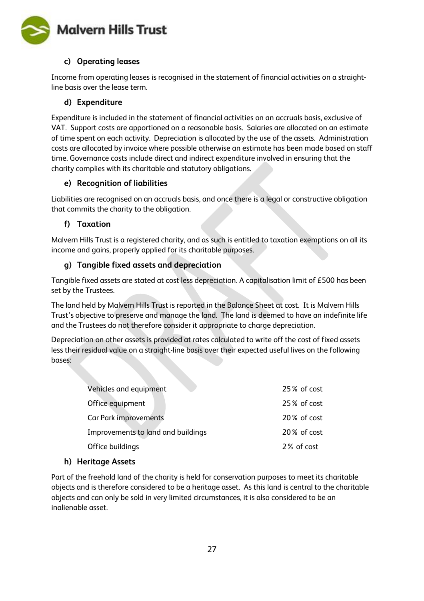

#### **c) Operating leases**

Income from operating leases is recognised in the statement of financial activities on a straightline basis over the lease term.

#### **d) Expenditure**

Expenditure is included in the statement of financial activities on an accruals basis, exclusive of VAT. Support costs are apportioned on a reasonable basis. Salaries are allocated on an estimate of time spent on each activity. Depreciation is allocated by the use of the assets. Administration costs are allocated by invoice where possible otherwise an estimate has been made based on staff time. Governance costs include direct and indirect expenditure involved in ensuring that the charity complies with its charitable and statutory obligations.

#### **e) Recognition of liabilities**

Liabilities are recognised on an accruals basis, and once there is a legal or constructive obligation that commits the charity to the obligation.

#### **f) Taxation**

Malvern Hills Trust is a registered charity, and as such is entitled to taxation exemptions on all its income and gains, properly applied for its charitable purposes.

#### **g) Tangible fixed assets and depreciation**

Tangible fixed assets are stated at cost less depreciation. A capitalisation limit of £500 has been set by the Trustees.

The land held by Malvern Hills Trust is reported in the Balance Sheet at cost. It is Malvern Hills Trust's objective to preserve and manage the land. The land is deemed to have an indefinite life and the Trustees do not therefore consider it appropriate to charge depreciation.

Depreciation on other assets is provided at rates calculated to write off the cost of fixed assets less their residual value on a straight-line basis over their expected useful lives on the following bases:

| Vehicles and equipment             | 25% of cost |
|------------------------------------|-------------|
| Office equipment                   | 25% of cost |
| Car Park improvements              | 20% of cost |
| Improvements to land and buildings | 20% of cost |
| Office buildings                   | 2% of cost  |

#### **h) Heritage Assets**

Part of the freehold land of the charity is held for conservation purposes to meet its charitable objects and is therefore considered to be a heritage asset. As this land is central to the charitable objects and can only be sold in very limited circumstances, it is also considered to be an inalienable asset.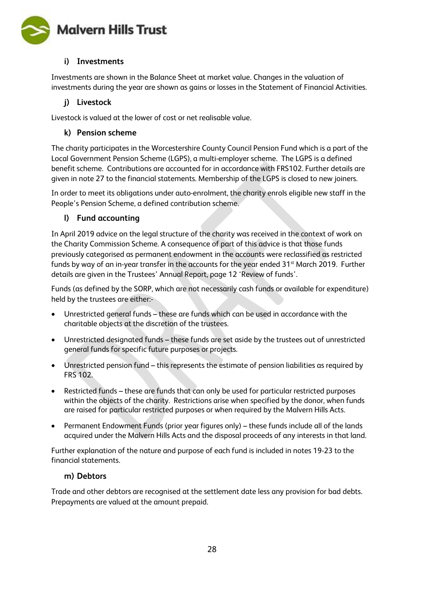

#### **i) Investments**

Investments are shown in the Balance Sheet at market value. Changes in the valuation of investments during the year are shown as gains or losses in the Statement of Financial Activities.

#### **j) Livestock**

Livestock is valued at the lower of cost or net realisable value.

#### **k) Pension scheme**

The charity participates in the Worcestershire County Council Pension Fund which is a part of the Local Government Pension Scheme (LGPS), a multi-employer scheme. The LGPS is a defined benefit scheme. Contributions are accounted for in accordance with FRS102. Further details are given in note 27 to the financial statements. Membership of the LGPS is closed to new joiners.

In order to meet its obligations under auto-enrolment, the charity enrols eligible new staff in the People's Pension Scheme, a defined contribution scheme.

#### **l) Fund accounting**

In April 2019 advice on the legal structure of the charity was received in the context of work on the Charity Commission Scheme. A consequence of part of this advice is that those funds previously categorised as permanent endowment in the accounts were reclassified as restricted funds by way of an in-year transfer in the accounts for the year ended  $31<sup>st</sup>$  March 2019. Further details are given in the Trustees' Annual Report, page 12 'Review of funds'.

Funds (as defined by the SORP, which are not necessarily cash funds or available for expenditure) held by the trustees are either:-

- Unrestricted general funds these are funds which can be used in accordance with the charitable objects at the discretion of the trustees.
- Unrestricted designated funds these funds are set aside by the trustees out of unrestricted general funds for specific future purposes or projects.
- Unrestricted pension fund this represents the estimate of pension liabilities as required by FRS 102.
- Restricted funds these are funds that can only be used for particular restricted purposes within the objects of the charity. Restrictions arise when specified by the donor, when funds are raised for particular restricted purposes or when required by the Malvern Hills Acts.
- Permanent Endowment Funds (prior year figures only) these funds include all of the lands acquired under the Malvern Hills Acts and the disposal proceeds of any interests in that land.

Further explanation of the nature and purpose of each fund is included in notes 19-23 to the financial statements.

#### **m) Debtors**

Trade and other debtors are recognised at the settlement date less any provision for bad debts. Prepayments are valued at the amount prepaid.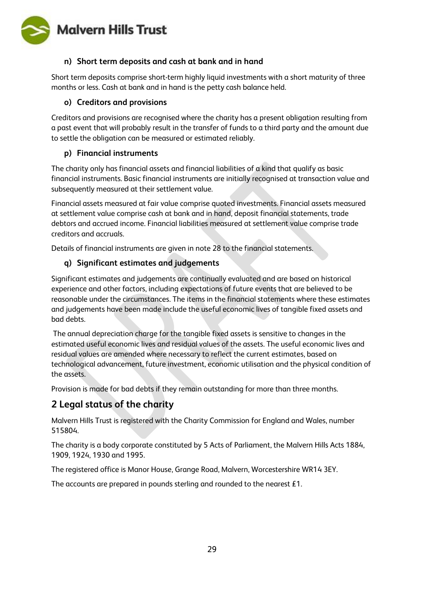

#### **n) Short term deposits and cash at bank and in hand**

Short term deposits comprise short-term highly liquid investments with a short maturity of three months or less. Cash at bank and in hand is the petty cash balance held.

#### **o) Creditors and provisions**

Creditors and provisions are recognised where the charity has a present obligation resulting from a past event that will probably result in the transfer of funds to a third party and the amount due to settle the obligation can be measured or estimated reliably.

#### **p) Financial instruments**

The charity only has financial assets and financial liabilities of a kind that qualify as basic financial instruments. Basic financial instruments are initially recognised at transaction value and subsequently measured at their settlement value.

Financial assets measured at fair value comprise quoted investments. Financial assets measured at settlement value comprise cash at bank and in hand, deposit financial statements, trade debtors and accrued income. Financial liabilities measured at settlement value comprise trade creditors and accruals.

Details of financial instruments are given in note 28 to the financial statements.

#### **q) Significant estimates and judgements**

Significant estimates and judgements are continually evaluated and are based on historical experience and other factors, including expectations of future events that are believed to be reasonable under the circumstances. The items in the financial statements where these estimates and judgements have been made include the useful economic lives of tangible fixed assets and bad debts.

The annual depreciation charge for the tangible fixed assets is sensitive to changes in the estimated useful economic lives and residual values of the assets. The useful economic lives and residual values are amended where necessary to reflect the current estimates, based on technological advancement, future investment, economic utilisation and the physical condition of the assets.

Provision is made for bad debts if they remain outstanding for more than three months.

### **2 Legal status of the charity**

Malvern Hills Trust is registered with the Charity Commission for England and Wales, number 515804.

The charity is a body corporate constituted by 5 Acts of Parliament, the Malvern Hills Acts 1884, 1909, 1924, 1930 and 1995.

The registered office is Manor House, Grange Road, Malvern, Worcestershire WR14 3EY.

The accounts are prepared in pounds sterling and rounded to the nearest £1.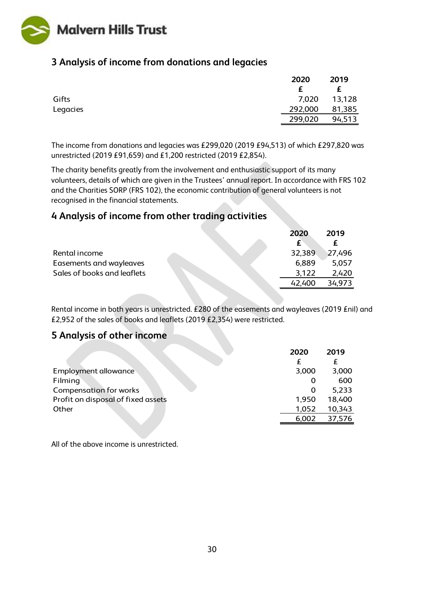

### **3 Analysis of income from donations and legacies**

|          | 2020    | 2019   |
|----------|---------|--------|
|          |         | £      |
| Gifts    | 7,020   | 13,128 |
| Legacies | 292,000 | 81,385 |
|          | 299,020 | 94,513 |

The income from donations and legacies was £299,020 (2019 £94,513) of which £297,820 was unrestricted (2019 £91,659) and £1,200 restricted (2019 £2,854).

The charity benefits greatly from the involvement and enthusiastic support of its many volunteers, details of which are given in the Trustees' annual report. In accordance with FRS 102 and the Charities SORP (FRS 102), the economic contribution of general volunteers is not recognised in the financial statements.

### **4 Analysis of income from other trading activities**

|                             | 2020   | 2019   |
|-----------------------------|--------|--------|
|                             | £      | f      |
| Rental income               | 32,389 | 27,496 |
| Easements and wayleaves     | 6,889  | 5,057  |
| Sales of books and leaflets | 3.122  | 2,420  |
|                             | 42.400 | 34.973 |
|                             |        |        |

Rental income in both years is unrestricted. £280 of the easements and wayleaves (2019 £nil) and £2,952 of the sales of books and leaflets (2019 £2,354) were restricted.

#### **5 Analysis of other income**

|                                    | 2020  | 2019   |
|------------------------------------|-------|--------|
|                                    |       | £      |
| Employment allowance               | 3,000 | 3,000  |
| Filming                            | O     | 600    |
| <b>Compensation for works</b>      | O     | 5,233  |
| Profit on disposal of fixed assets | 1,950 | 18,400 |
| Other                              | 1,052 | 10,343 |
|                                    | 6,002 | 37,576 |

All of the above income is unrestricted.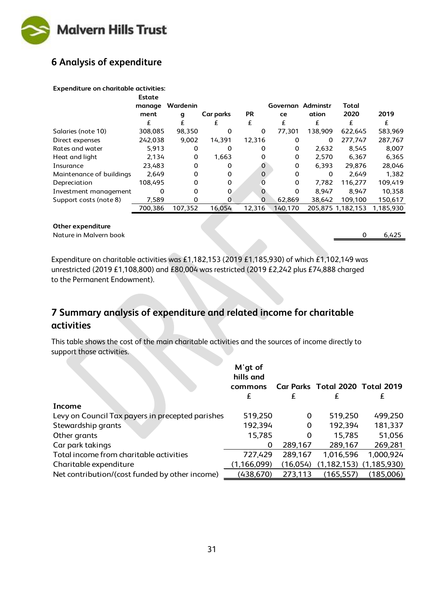

## **6 Analysis of expenditure**

#### **Expenditure on charitable activities:**

|                          | Estate<br>manage | Wardenin |           |             | Governan | Adminstr | Total             |           |
|--------------------------|------------------|----------|-----------|-------------|----------|----------|-------------------|-----------|
|                          | ment             | g        | Car parks | <b>PR</b>   | ce       | ation    | 2020              | 2019      |
|                          | £                | £        | £         | £           | £        | £        | £                 | £         |
| Salaries (note 10)       | 308,085          | 98,350   | 0         | 0           | 77,301   | 138,909  | 622,645           | 583,969   |
| Direct expenses          | 242,038          | 9,002    | 14,391    | 12,316      | 0        | 0        | 277,747           | 287,767   |
| Rates and water          | 5,913            | 0        | 0         | 0           | 0        | 2.632    | 8.545             | 8.007     |
| Heat and light           | 2,134            | 0        | 1.663     | 0           | 0        | 2,570    | 6,367             | 6,365     |
| Insurance                | 23,483           | 0        | 0         | $\mathbf 0$ | 0        | 6.393    | 29.876            | 28,046    |
| Maintenance of buildings | 2.649            | 0        | 0         | $\Omega$    | $\Omega$ | $\Omega$ | 2.649             | 1.382     |
| Depreciation             | 108.495          | 0        | 0         | O           | $\Omega$ | 7,782    | 116,277           | 109,419   |
| Investment management    | 0                | 0        | 0         | O           | 0        | 8.947    | 8.947             | 10,358    |
| Support costs (note 8)   | 7,589            | 0        |           | $\Omega$    | 62.869   | 38,642   | 109,100           | 150,617   |
|                          | 700.386          | 107.352  | 16.054    | 12.316      | 140,170  |          | 205,875 1,182,153 | 1.185.930 |

#### **Other expenditure**

Nature in Malvern book 0 6,425

Expenditure on charitable activities was £1,182,153 (2019 £1,185,930) of which £1,102,149 was unrestricted (2019 £1,108,800) and £80,004 was restricted (2019 £2,242 plus £74,888 charged to the Permanent Endowment).

### **7 Summary analysis of expenditure and related income for charitable activities**

This table shows the cost of the main charitable activities and the sources of income directly to support those activities.

|                                                  | M'gt of<br>hills and<br>commons |          | Car Parks Total 2020 Total 2019 |                                 |
|--------------------------------------------------|---------------------------------|----------|---------------------------------|---------------------------------|
|                                                  | £                               | £        | £                               | £                               |
| Income                                           |                                 |          |                                 |                                 |
| Levy on Council Tax payers in precepted parishes | 519,250                         | 0        | 519,250                         | 499,250                         |
| Stewardship grants                               | 192,394                         | 0        | 192,394                         | 181,337                         |
| Other grants                                     | 15,785                          | 0        | 15,785                          | 51,056                          |
| Car park takings                                 | 0                               | 289,167  | 289,167                         | 269,281                         |
| Total income from charitable activities          | 727,429                         | 289,167  | 1,016,596                       | 1,000,924                       |
| Charitable expenditure                           | (1, 166, 099)                   | (16,054) |                                 | $(1, 182, 153)$ $(1, 185, 930)$ |
| Net contribution/(cost funded by other income)   | (438,670)                       | 273,113  | (165, 557)                      | (185,006)                       |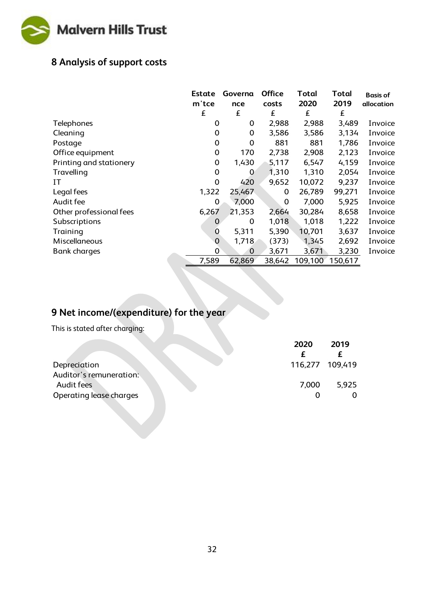

## **8 Analysis of support costs**

|                         | Estate<br>m'tce | Governa<br>nce | <b>Office</b><br>costs | Total<br>2020 | <b>Total</b><br>2019 | <b>Basis of</b><br>allocation |
|-------------------------|-----------------|----------------|------------------------|---------------|----------------------|-------------------------------|
|                         | £               | £              | £                      | £             | £                    |                               |
| Telephones              | 0               | 0              | 2,988                  | 2,988         | 3,489                | Invoice                       |
| Cleaning                | 0               | $\mathbf 0$    | 3,586                  | 3,586         | 3,134                | Invoice                       |
| Postage                 | 0               | 0              | 881                    | 881           | 1,786                | Invoice                       |
| Office equipment        | 0               | 170            | 2,738                  | 2,908         | 2,123                | Invoice                       |
| Printing and stationery | 0               | 1,430          | 5,117                  | 6,547         | 4,159                | Invoice                       |
| Travelling              | 0               | 0              | 1,310                  | 1,310         | 2,054                | Invoice                       |
| ΙT                      | $\Omega$        | 420            | 9,652                  | 10,072        | 9,237                | Invoice                       |
| Legal fees              | 1,322           | 25,467         | 0                      | 26,789        | 99,271               | Invoice                       |
| Audit fee               | 0               | 7,000          | $\Omega$               | 7,000         | 5,925                | Invoice                       |
| Other professional fees | 6,267           | 21,353         | 2,664                  | 30,284        | 8,658                | Invoice                       |
| Subscriptions           | 0               | 0              | 1,018                  | 1,018         | 1,222                | Invoice                       |
| Training                | 0               | 5,311          | 5,390                  | 10,701        | 3,637                | Invoice                       |
| Miscellaneous           | $\mathbf 0$     | 1,718          | (373)                  | 1,345         | 2,692                | Invoice                       |
| <b>Bank charges</b>     | 0               | $\Omega$       | 3,671                  | 3,671         | 3,230                | Invoice                       |
|                         | 7,589           | 62,869         | 38,642                 | 109,100       | 150,617              |                               |

## **9 Net income/(expenditure) for the year**

This is stated after charging:

| 2020            | 2019  |
|-----------------|-------|
|                 |       |
| 116,277 109,419 |       |
|                 |       |
| 7,000           | 5,925 |
|                 |       |
|                 |       |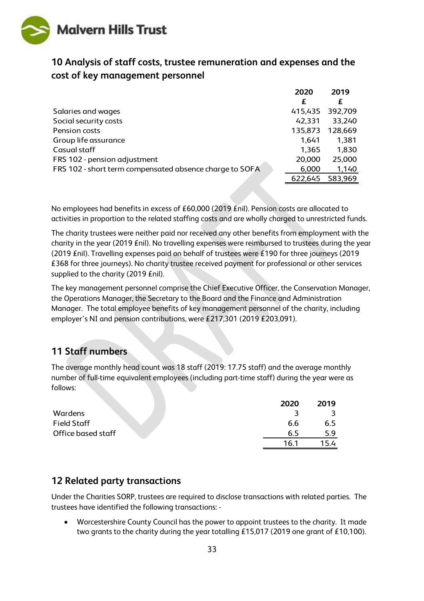

### **10 Analysis of staff costs, trustee remuneration and expenses and the cost of key management personnel**

|                                                         | 2020    | 2019    |
|---------------------------------------------------------|---------|---------|
|                                                         | £       | £       |
| Salaries and wages                                      | 415,435 | 392,709 |
| Social security costs                                   | 42,331  | 33,240  |
| Pension costs                                           | 135,873 | 128,669 |
| Group life assurance                                    | 1,641   | 1,381   |
| Casual staff                                            | 1,365   | 1,830   |
| FRS 102 - pension adjustment                            | 20,000  | 25,000  |
| FRS 102 - short term compensated absence charge to SOFA | 6,000   | 1,140   |
|                                                         | 622,645 | 583,969 |

No employees had benefits in excess of £60,000 (2019 £nil). Pension costs are allocated to activities in proportion to the related staffing costs and are wholly charged to unrestricted funds.

The charity trustees were neither paid nor received any other benefits from employment with the charity in the year (2019 £nil). No travelling expenses were reimbursed to trustees during the year (2019 £nil). Travelling expenses paid on behalf of trustees were £190 for three journeys (2019 £368 for three journeys). No charity trustee received payment for professional or other services supplied to the charity (2019 £nil).

The key management personnel comprise the Chief Executive Officer, the Conservation Manager, the Operations Manager, the Secretary to the Board and the Finance and Administration Manager. The total employee benefits of key management personnel of the charity, including employer's NI and pension contributions, were £217,301 (2019 £203,091).

### **11 Staff numbers**

The average monthly head count was 18 staff (2019: 17.75 staff) and the average monthly number of full-time equivalent employees (including part-time staff) during the year were as follows:

|                    | 2020 | 2019 |
|--------------------|------|------|
| Wardens            |      |      |
| <b>Field Staff</b> | 6.6  | 6.5  |
| Office based staff | 65   | 5.9  |
|                    | 16.1 |      |

### **12 Related party transactions**

Under the Charities SORP, trustees are required to disclose transactions with related parties. The trustees have identified the following transactions: -

• Worcestershire County Council has the power to appoint trustees to the charity. It made two grants to the charity during the year totalling £15,017 (2019 one grant of £10,100).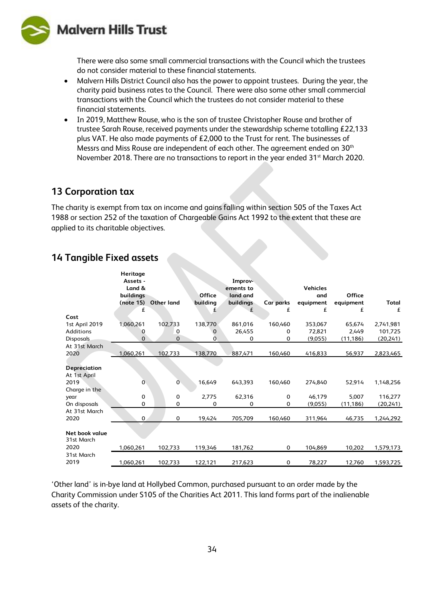

There were also some small commercial transactions with the Council which the trustees do not consider material to these financial statements.

- Malvern Hills District Council also has the power to appoint trustees. During the year, the charity paid business rates to the Council. There were also some other small commercial transactions with the Council which the trustees do not consider material to these financial statements.
- In 2019, Matthew Rouse, who is the son of trustee Christopher Rouse and brother of trustee Sarah Rouse, received payments under the stewardship scheme totalling £22,133 plus VAT. He also made payments of £2,000 to the Trust for rent. The businesses of Messrs and Miss Rouse are independent of each other. The agreement ended on 30th November 2018. There are no transactions to report in the year ended  $31<sup>st</sup>$  March 2020.

#### **13 Corporation tax**

The charity is exempt from tax on income and gains falling within section 505 of the Taxes Act 1988 or section 252 of the taxation of Chargeable Gains Act 1992 to the extent that these are applied to its charitable objectives.

|                  | Heritage<br>Assets - |            |          | Improv-   |           |                 |           |           |
|------------------|----------------------|------------|----------|-----------|-----------|-----------------|-----------|-----------|
|                  | Land &               |            |          | ements to |           | <b>Vehicles</b> |           |           |
|                  | buildings            |            | Office   | land and  |           | and             | Office    |           |
|                  | (note 15)            | Other land | building | buildings | Car parks | equipment       | equipment | Total     |
|                  | £                    |            | £        | £         | £         | £               | £         | £         |
| Cost             |                      |            |          |           |           |                 |           |           |
| 1st April 2019   | 1,060,261            | 102,733    | 138,770  | 861,016   | 160,460   | 353,067         | 65,674    | 2,741,981 |
| Additions        | 0                    | 0          | 0        | 26,455    | 0         | 72,821          | 2,449     | 101,725   |
| <b>Disposals</b> | $\Omega$             | 0          | 0        | 0         | 0         | (9,055)         | (11, 186) | (20, 241) |
| At 31st March    |                      |            |          |           |           |                 |           |           |
| 2020             | 1,060,261            | 102,733    | 138,770  | 887,471   | 160,460   | 416,833         | 56,937    | 2,823,465 |
|                  |                      |            |          |           |           |                 |           |           |
| Depreciation     |                      |            |          |           |           |                 |           |           |
| At 1st April     |                      |            |          |           |           |                 |           |           |
| 2019             | 0                    | 0          | 16,649   | 643,393   | 160,460   | 274,840         | 52,914    | 1,148,256 |
| Charge in the    |                      |            |          |           |           |                 |           |           |
| year             | 0                    | 0          | 2,775    | 62,316    | 0         | 46,179          | 5,007     | 116,277   |
| On disposals     | 0                    | $\Omega$   | 0        | 0         | 0         | (9,055)         | (11, 186) | (20, 241) |
| At 31st March    |                      |            |          |           |           |                 |           |           |
| 2020             | $\mathbf{0}$         | $\Omega$   | 19,424   | 705,709   | 160,460   | 311,964         | 46,735    | 1,244,292 |
|                  |                      |            |          |           |           |                 |           |           |
| Net book value   |                      |            |          |           |           |                 |           |           |
| 31st March       |                      |            |          |           |           |                 |           |           |
| 2020             | 1,060,261            | 102,733    | 119,346  | 181,762   | 0         | 104,869         | 10,202    | 1,579,173 |
| 31st March       |                      |            |          |           |           |                 |           |           |
| 2019             | 1,060,261            | 102,733    | 122,121  | 217,623   | 0         | 78,227          | 12,760    | 1,593,725 |

### **14 Tangible Fixed assets**

'Other land' is in-bye land at Hollybed Common, purchased pursuant to an order made by the Charity Commission under S105 of the Charities Act 2011. This land forms part of the inalienable assets of the charity.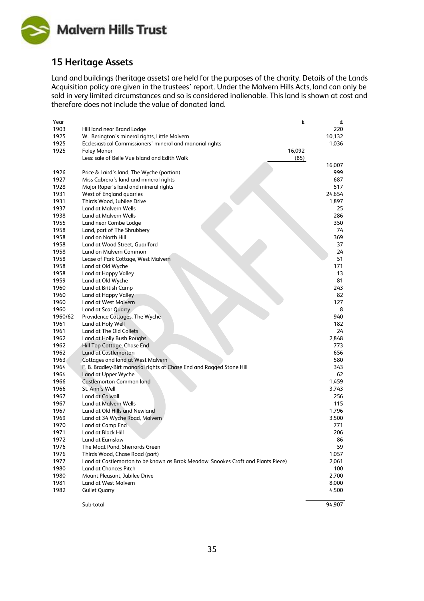

### **15 Heritage Assets**

Land and buildings (heritage assets) are held for the purposes of the charity. Details of the Lands Acquisition policy are given in the trustees' report. Under the Malvern Hills Acts, land can only be sold in very limited circumstances and so is considered inalienable. This land is shown at cost and therefore does not include the value of donated land.

| Year    |                                                                                   | £      | £      |
|---------|-----------------------------------------------------------------------------------|--------|--------|
| 1903    | Hill land near Brand Lodge                                                        |        | 220    |
| 1925    | W. Berington's mineral rights, Little Malvern                                     |        | 10,132 |
| 1925    | Ecclesiastical Commissioners' mineral and manorial rights                         |        | 1,036  |
| 1925    | Foley Manor                                                                       | 16,092 |        |
|         | Less: sale of Belle Vue island and Edith Walk                                     | (85)   |        |
|         |                                                                                   |        | 16,007 |
| 1926    | Price & Laird's land, The Wyche (portion)                                         |        | 999    |
| 1927    | Miss Cabrera's land and mineral rights                                            |        | 687    |
| 1928    | Major Raper's land and mineral rights                                             |        | 517    |
| 1931    | West of England quarries                                                          |        | 24,654 |
| 1931    | Thirds Wood, Jubilee Drive                                                        |        | 1,897  |
| 1937    | Land at Malvern Wells                                                             |        | 25     |
| 1938    | Land at Malvern Wells                                                             |        | 286    |
| 1955    | Land near Combe Lodge                                                             |        | 350    |
| 1958    | Land, part of The Shrubbery                                                       |        | 74     |
| 1958    | Land on North Hill                                                                |        | 369    |
| 1958    | Land at Wood Street, Guarlford                                                    |        | 37     |
| 1958    | Land on Malvern Common                                                            |        | 24     |
| 1958    | Lease of Park Cottage, West Malvern                                               |        | 51     |
| 1958    | Land at Old Wyche                                                                 |        | 171    |
| 1958    | Land at Happy Valley                                                              |        | 13     |
| 1959    | Land at Old Wyche                                                                 |        | 81     |
| 1960    | Land at British Camp                                                              |        | 243    |
| 1960    | Land at Happy Valley                                                              |        | 82     |
| 1960    | Land at West Malvern                                                              |        | 127    |
| 1960    | Land at Scar Quarry                                                               |        | 8      |
| 1960/62 | Providence Cottages, The Wyche                                                    |        | 940    |
| 1961    | Land at Holy Well                                                                 |        | 182    |
| 1961    | Land at The Old Collets                                                           |        | 24     |
| 1962    | Land at Holly Bush Roughs                                                         |        | 2,848  |
| 1962    | Hill Top Cottage, Chase End                                                       |        | 773    |
| 1962    | Land at Castlemorton                                                              |        | 656    |
| 1963    | Cottages and land at West Malvern                                                 |        | 580    |
| 1964    | F. B. Bradley-Birt manorial rights at Chase End and Ragged Stone Hill             |        | 343    |
| 1964    | Land at Upper Wyche                                                               |        | 62     |
| 1966    | Castlemorton Common land                                                          |        | 1,459  |
| 1966    | St. Ann's Well                                                                    |        | 3,743  |
| 1967    | Land at Colwall                                                                   |        | 256    |
| 1967    | Land at Malvern Wells                                                             |        | 115    |
| 1967    | Land at Old Hills and Newland                                                     |        | 1,796  |
| 1969    | Land at 34 Wyche Road, Malvern                                                    |        | 3,500  |
| 1970    | Land at Camp End                                                                  |        | 771    |
| 1971    | Land at Black Hill                                                                |        | 206    |
| 1972    | Land at Earnslaw                                                                  |        | 86     |
| 1976    | The Moat Pond, Sherrards Green                                                    |        | 59     |
| 1976    | Thirds Wood, Chase Road (part)                                                    |        | 1,057  |
| 1977    | Land at Castlemorton to be known as Brrok Meadow, Snookes Croft and Plants Piece) |        | 2,061  |
| 1980    | Land at Chances Pitch                                                             |        | 100    |
| 1980    | Mount Pleasant, Jubilee Drive                                                     |        | 2,700  |
| 1981    | Land at West Malvern                                                              |        | 8,000  |
| 1982    | <b>Gullet Quarry</b>                                                              |        | 4,500  |
|         | Sub-total                                                                         |        | 94,907 |
|         |                                                                                   |        |        |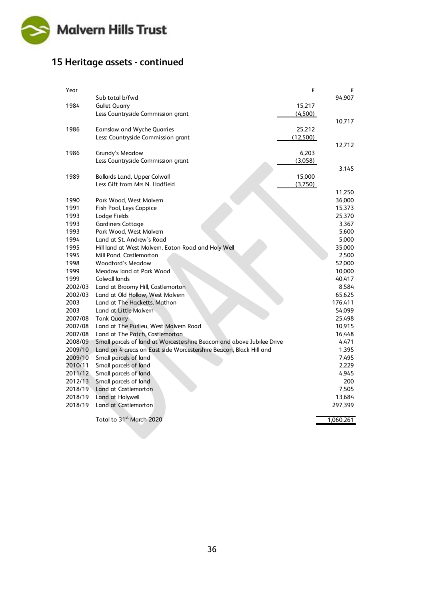

## **15 Heritage assets - continued**

| Year    |                                                                        | £        | £         |
|---------|------------------------------------------------------------------------|----------|-----------|
|         | Sub total b/fwd                                                        |          | 94,907    |
| 1984    | <b>Gullet Quarry</b>                                                   | 15,217   |           |
|         | Less Countryside Commission grant                                      | (4,500)  |           |
|         |                                                                        |          | 10,717    |
| 1986    | Earnslaw and Wyche Quarries                                            | 25,212   |           |
|         | Less: Countryside Commission grant                                     | (12,500) |           |
|         |                                                                        |          | 12,712    |
| 1986    | Grundy's Meadow                                                        | 6,203    |           |
|         | Less Countryside Commission grant                                      | (3,058)  |           |
|         |                                                                        |          | 3,145     |
| 1989    | <b>Ballards Land, Upper Colwall</b>                                    | 15,000   |           |
|         | Less Gift from Mrs N. Hadfield                                         | (3,750)  |           |
|         |                                                                        |          | 11,250    |
| 1990    | Park Wood, West Malvern                                                |          | 36,000    |
| 1991    | Fish Pool, Leys Coppice                                                |          | 15,373    |
| 1993    | Lodge Fields                                                           |          | 25,370    |
| 1993    | <b>Gardiners Cottage</b>                                               |          | 3,367     |
| 1993    | Park Wood, West Malvern                                                |          | 5,600     |
| 1994    | Land at St. Andrew's Road                                              |          | 5,000     |
| 1995    | Hill land at West Malvern, Eaton Road and Holy Well                    |          | 35,000    |
| 1995    | Mill Pond, Castlemorton                                                |          | 2,500     |
| 1998    | <b>Woodford's Meadow</b>                                               |          | 52,000    |
| 1999    | Meadow land at Park Wood                                               |          | 10,000    |
| 1999    | Colwall lands                                                          |          | 40,417    |
| 2002/03 | Land at Broomy Hill, Castlemorton                                      |          | 8,584     |
| 2002/03 | Land at Old Hollow, West Malvern                                       |          | 65,625    |
| 2003    | Land at The Hacketts, Mathon                                           |          | 176,411   |
| 2003    | Land at Little Malvern                                                 |          | 54,099    |
| 2007/08 | <b>Tank Quarry</b>                                                     |          | 25,498    |
| 2007/08 | Land at The Purlieu, West Malvern Road                                 |          | 10,915    |
| 2007/08 | Land at The Patch, Castlemorton                                        |          | 16,448    |
| 2008/09 | Small parcels of land at Worcestershire Beacon and above Jubilee Drive |          | 4,471     |
| 2009/10 | Land on 4 areas on East side Worcestershire Beacon, Black Hill and     |          | 1,395     |
| 2009/10 | Small parcels of land                                                  |          | 7,495     |
| 2010/11 | Small parcels of land                                                  |          | 2,229     |
| 2011/12 | Small parcels of land                                                  |          | 4,945     |
| 2012/13 | Small parcels of land                                                  |          | 200       |
| 2018/19 | Land at Castlemorton                                                   |          | 7,505     |
| 2018/19 | Land at Holywell                                                       |          | 13,684    |
| 2018/19 | Land at Castlemorton                                                   |          | 297,399   |
|         | Total to 31 <sup>st</sup> March 2020                                   |          | 1,060,261 |
|         |                                                                        |          |           |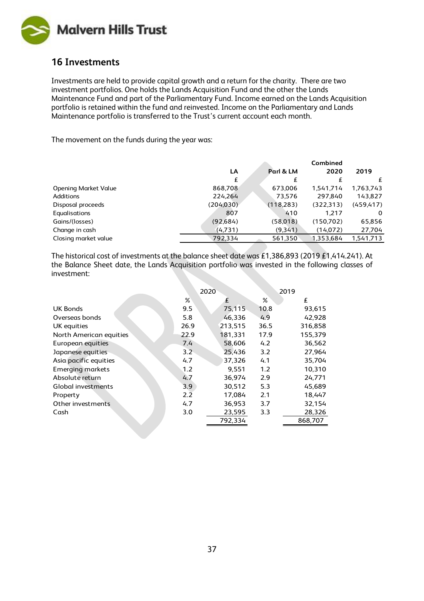

### **16 Investments**

Investments are held to provide capital growth and a return for the charity. There are two investment portfolios. One holds the Lands Acquisition Fund and the other the Lands Maintenance Fund and part of the Parliamentary Fund. Income earned on the Lands Acquisition portfolio is retained within the fund and reinvested. Income on the Parliamentary and Lands Maintenance portfolio is transferred to the Trust's current account each month.

The movement on the funds during the year was:

|                             | Combined   |            |            |            |  |
|-----------------------------|------------|------------|------------|------------|--|
|                             | LA         | Parl & LM  | 2020       | 2019       |  |
|                             | £          | £          |            | £          |  |
| <b>Opening Market Value</b> | 868,708    | 673,006    | 1,541,714  | 1,763,743  |  |
| Additions                   | 224,264    | 73,576     | 297.840    | 143,827    |  |
| Disposal proceeds           | (204, 030) | (118, 283) | (322, 313) | (459, 417) |  |
| Equalisations               | 807        | 410        | 1.217      | 0          |  |
| Gains/(losses)              | (92,684)   | (58,018)   | (150.702)  | 65,856     |  |
| Change in cash              | (4,731)    | (9,341)    | (14,072)   | 27,704     |  |
| Closing market value        | 792.334    | 561,350    | 1,353,684  | 1,541,713  |  |

The historical cost of investments at the balance sheet date was £1,386,893 (2019 £1,414.241). At the Balance Sheet date, the Lands Acquisition portfolio was invested in the following classes of investment:

|                         | 2020          |         |      | 2019    |  |
|-------------------------|---------------|---------|------|---------|--|
|                         | %             | £       | %    | £       |  |
| <b>UK Bonds</b>         | 9.5           | 75,115  | 10.8 | 93,615  |  |
| Overseas bonds          | 5.8           | 46,336  | 4.9  | 42,928  |  |
| UK equities             | 26.9          | 213.515 | 36.5 | 316,858 |  |
| North American equities | 22.9          | 181,331 | 17.9 | 155,379 |  |
| European equities       | 7.4           | 58.606  | 4.2  | 36,562  |  |
| Japanese equities       | $3.2^{\circ}$ | 25,436  | 3.2  | 27,964  |  |
| Asia pacific equities   | 4.7           | 37,326  | 4.1  | 35,704  |  |
| <b>Emerging markets</b> | 1.2           | 9.551   | 1.2  | 10,310  |  |
| Absolute return         | 4.7           | 36.974  | 2.9  | 24,771  |  |
| Global investments      | 3.9           | 30,512  | 5.3  | 45,689  |  |
| Property                | 2.2           | 17.084  | 2.1  | 18,447  |  |
| Other investments       | 4.7           | 36,953  | 3.7  | 32,154  |  |
| Cash                    | 3.0           | 23,595  | 3.3  | 28,326  |  |
|                         |               | 792,334 |      | 868.707 |  |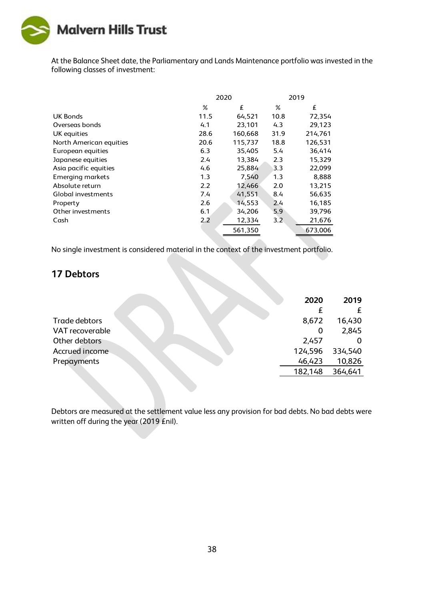

At the Balance Sheet date, the Parliamentary and Lands Maintenance portfolio was invested in the following classes of investment:

|                         |      | 2020    | 2019 |         |  |
|-------------------------|------|---------|------|---------|--|
|                         | $\%$ | £       | ℅    | £       |  |
| UK Bonds                | 11.5 | 64,521  | 10.8 | 72,354  |  |
| Overseas bonds          | 4.1  | 23,101  | 4.3  | 29,123  |  |
| UK equities             | 28.6 | 160,668 | 31.9 | 214,761 |  |
| North American equities | 20.6 | 115,737 | 18.8 | 126,531 |  |
| European equities       | 6.3  | 35,405  | 5.4  | 36,414  |  |
| Japanese equities       | 2.4  | 13,384  | 2.3  | 15,329  |  |
| Asia pacific equities   | 4.6  | 25,884  | 3.3  | 22,099  |  |
| <b>Emerging markets</b> | 1.3  | 7,540   | 1.3  | 8,888   |  |
| Absolute return         | 2.2  | 12,466  | 2.0  | 13,215  |  |
| Global investments      | 7.4  | 41,551  | 8.4  | 56,635  |  |
| Property                | 2.6  | 14,553  | 2.4  | 16,185  |  |
| Other investments       | 6.1  | 34,206  | 5.9  | 39,796  |  |
| Cash                    | 2.2  | 12,334  | 3.2  | 21,676  |  |
|                         |      | 561,350 |      | 673,006 |  |

No single investment is considered material in the context of the investment portfolio.

#### **17 Debtors**

|                 | 2020    | 2019    |
|-----------------|---------|---------|
|                 |         | £       |
| Trade debtors   | 8,672   | 16,430  |
| VAT recoverable | O       | 2,845   |
| Other debtors   | 2,457   |         |
| Accrued income  | 124,596 | 334,540 |
| Prepayments     | 46,423  | 10,826  |
|                 | 182,148 | 364,641 |
|                 |         |         |

Debtors are measured at the settlement value less any provision for bad debts. No bad debts were written off during the year (2019 £nil).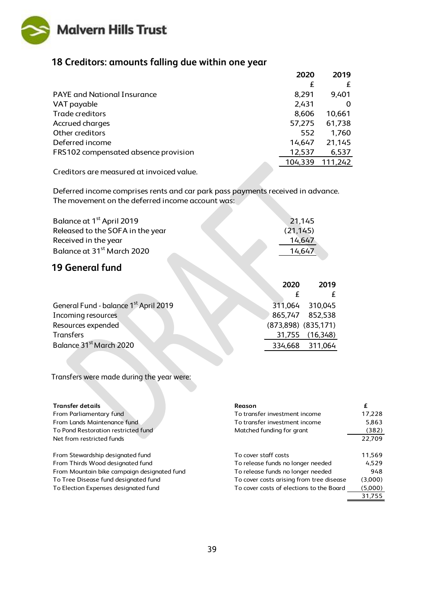

## **18 Creditors: amounts falling due within one year**

|                                      | 2020    | 2019    |
|--------------------------------------|---------|---------|
|                                      | £       | £       |
| <b>PAYE</b> and National Insurance   | 8,291   | 9,401   |
| VAT payable                          | 2,431   |         |
| Trade creditors                      | 8,606   | 10,661  |
| Accrued charges                      | 57,275  | 61,738  |
| Other creditors                      | 552     | 1,760   |
| Deferred income                      | 14,647  | 21,145  |
| FRS102 compensated absence provision | 12,537  | 6,537   |
|                                      | 104,339 | 111,242 |

Creditors are measured at invoiced value.

Deferred income comprises rents and car park pass payments received in advance. The movement on the deferred income account was:

| Balance at 1 <sup>st</sup> April 2019  | 21,145    |
|----------------------------------------|-----------|
| Released to the SOFA in the year       | (21, 145) |
| Received in the year                   | 14,647    |
| Balance at 31 <sup>st</sup> March 2020 | 14.647    |

### **19 General fund**

|                                                   | 2020   | 2019                    |
|---------------------------------------------------|--------|-------------------------|
|                                                   |        |                         |
| General Fund - balance 1 <sup>st</sup> April 2019 |        | 311,064 310,045         |
| Incoming resources                                |        | 865,747 852,538         |
| Resources expended                                |        | $(873,898)$ $(835,171)$ |
| <b>Transfers</b>                                  | 31,755 | (16, 348)               |
| Balance 31 <sup>st</sup> March 2020               |        | 334,668 311,064         |

Transfers were made during the year were:

| <b>Transfer details</b>                     | Reason                                   | £       |
|---------------------------------------------|------------------------------------------|---------|
| From Parliamentary fund                     | To transfer investment income            | 17,228  |
| From Lands Maintenance fund                 | To transfer investment income            | 5,863   |
| To Pond Restoration restricted fund         | Matched funding for grant                | (382)   |
| Net from restricted funds                   |                                          | 22.709  |
| From Stewardship designated fund            | To cover staff costs                     | 11,569  |
| From Thirds Wood designated fund            | To release funds no longer needed        | 4.529   |
| From Mountain bike campaign designated fund | To release funds no longer needed        | 948     |
| To Tree Disease fund designated fund        | To cover costs arising from tree disease | (3,000) |
| To Election Expenses designated fund        | To cover costs of elections to the Board | (5,000) |
|                                             |                                          | 31.755  |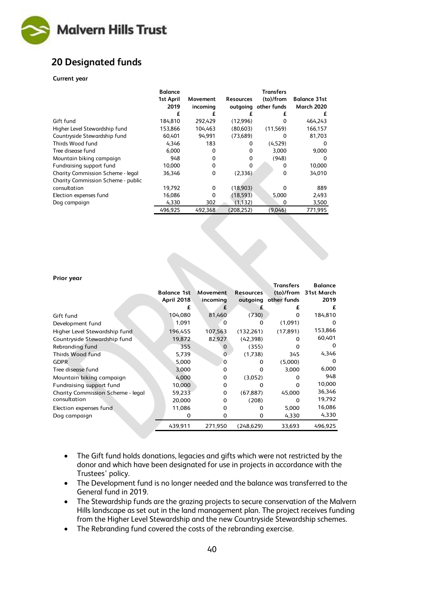

### **20 Designated funds**

#### **Current year**

|                                    | <b>Balance</b><br>1st April<br>2019 | Movement<br>incoming | <b>Resources</b> | <b>Transfers</b><br>(to)/from<br>outgoing other funds | <b>Balance 31st</b><br><b>March 2020</b> |
|------------------------------------|-------------------------------------|----------------------|------------------|-------------------------------------------------------|------------------------------------------|
|                                    | £                                   | £                    | £                | £                                                     | £                                        |
| Gift fund                          | 184,810                             | 292,429              | (12,996)         | 0                                                     | 464,243                                  |
| Higher Level Stewardship fund      | 153,866                             | 104.463              | (80.603)         | (11, 569)                                             | 166,157                                  |
| Countryside Stewardship fund       | 60,401                              | 94.991               | (73,689)         | 0                                                     | 81,703                                   |
| Thirds Wood fund                   | 4,346                               | 183                  | 0                | (4,529)                                               | O                                        |
| Tree disease fund                  | 6,000                               | 0                    | 0                | 3,000                                                 | 9,000                                    |
| Mountain biking campaign           | 948                                 | 0                    | 0                | (948)                                                 | 0                                        |
| Fundraising support fund           | 10,000                              | 0                    | 0                | 0                                                     | 10,000                                   |
| Charity Commission Scheme - legal  | 36,346                              | 0                    | (2,336)          | 0                                                     | 34,010                                   |
| Charity Commission Scheme - public |                                     |                      |                  |                                                       |                                          |
| consultation                       | 19,792                              | 0                    | (18,903)         | O                                                     | 889                                      |
| Election expenses fund             | 16,086                              | 0                    | (18, 593)        | 5,000                                                 | 2,493                                    |
| Dog campaign                       | 4,330                               | 302                  | (1, 132)         | 0                                                     | 3,500                                    |
|                                    | 496,925                             | 492.368              | (208.252)        | (9,046)                                               | 771,995                                  |

#### **Prior year**

| Prior year                        |                    |          |                  |                  |                      |
|-----------------------------------|--------------------|----------|------------------|------------------|----------------------|
|                                   |                    |          |                  | <b>Transfers</b> | <b>Balance</b>       |
|                                   | <b>Balance 1st</b> | Movement | <b>Resources</b> |                  | (to)/from 31st March |
|                                   | <b>April 2018</b>  | incoming | outgoing         | other funds      | 2019                 |
|                                   | €                  | £        |                  | £                | £                    |
| Gift fund                         | 104,080            | 81,460   | (730)            | $\Omega$         | 184,810              |
| Development fund                  | 1,091              | $\Omega$ | O                | (1,091)          | $\Omega$             |
| Higher Level Stewardship fund     | 196,455            | 107,563  | (132, 261)       | (17, 891)        | 153,866              |
| Countryside Stewardship fund      | 19,872             | 82,927   | (42, 398)        | $\Omega$         | 60,401               |
| Rebranding fund                   | 355                | 0        | (355)            | $\Omega$         | $\Omega$             |
| Thirds Wood fund                  | 5,739              | 0        | (1,738)          | 345              | 4,346                |
| <b>GDPR</b>                       | 5.000              | $\Omega$ | 0                | (5,000)          | $\Omega$             |
| Tree disease fund                 | 3,000              | 0        | O                | 3,000            | 6,000                |
| Mountain biking campaign          | 4,000              | 0        | (3,052)          | 0                | 948                  |
| Fundraising support fund          | 10,000             | $\Omega$ | $\Omega$         | $\Omega$         | 10,000               |
| Charity Commission Scheme - legal | 59,233             | 0        | (67, 887)        | 45,000           | 36,346               |
| consultation                      | 20,000             | $\Omega$ | (208)            | $\Omega$         | 19,792               |
| Election expenses fund            | 11,086             | 0        | $\Omega$         | 5,000            | 16,086               |
| Dog campaign                      | $\Omega$           | 0        | $\Omega$         | 4,330            | 4,330                |
|                                   | 439,911            | 271,950  | (248, 629)       | 33,693           | 496,925              |

- The Gift fund holds donations, legacies and gifts which were not restricted by the donor and which have been designated for use in projects in accordance with the Trustees' policy.
- The Development fund is no longer needed and the balance was transferred to the General fund in 2019.
- The Stewardship funds are the grazing projects to secure conservation of the Malvern Hills landscape as set out in the land management plan. The project receives funding from the Higher Level Stewardship and the new Countryside Stewardship schemes.
- The Rebranding fund covered the costs of the rebranding exercise.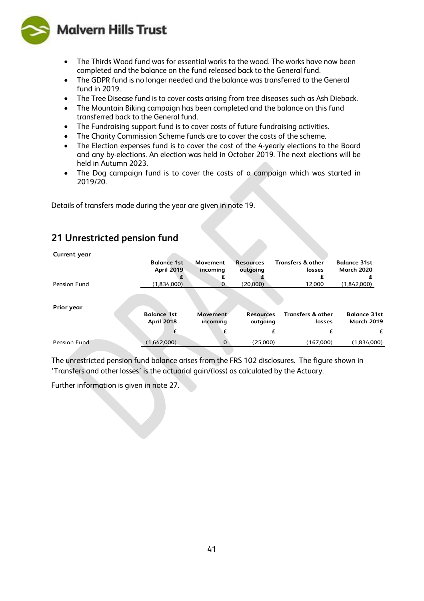

- The Thirds Wood fund was for essential works to the wood. The works have now been completed and the balance on the fund released back to the General fund.
- The GDPR fund is no longer needed and the balance was transferred to the General fund in 2019.
- The Tree Disease fund is to cover costs arising from tree diseases such as Ash Dieback.
- The Mountain Biking campaign has been completed and the balance on this fund transferred back to the General fund.
- The Fundraising support fund is to cover costs of future fundraising activities.
- The Charity Commission Scheme funds are to cover the costs of the scheme.
- The Election expenses fund is to cover the cost of the 4-yearly elections to the Board and any by-elections. An election was held in October 2019. The next elections will be held in Autumn 2023.
- The Dog campaign fund is to cover the costs of a campaign which was started in 2019/20.

Details of transfers made during the year are given in note 19.

### **21 Unrestricted pension fund**

| Current year |                                         |                      |                              |                                        |                                          |
|--------------|-----------------------------------------|----------------------|------------------------------|----------------------------------------|------------------------------------------|
|              | <b>Balance 1st</b>                      | Movement             | <b>Resources</b>             | <b>Transfers &amp; other</b>           | <b>Balance 31st</b>                      |
|              | <b>April 2019</b>                       | incoming             | outgoing                     | losses                                 | <b>March 2020</b>                        |
|              |                                         |                      |                              |                                        |                                          |
| Pension Fund | (1,834,000)                             | O                    | (20,000)                     | 12.000                                 | (1,842,000)                              |
| Prior year   |                                         |                      |                              |                                        |                                          |
|              | <b>Balance 1st</b><br><b>April 2018</b> | Movement<br>incoming | <b>Resources</b><br>outgoing | <b>Transfers &amp; other</b><br>losses | <b>Balance 31st</b><br><b>March 2019</b> |
|              |                                         |                      |                              | f                                      | £                                        |
| Pension Fund | (1,642,000)                             | $\Omega$             | (25,000)                     | (167,000)                              | (1,834,000)                              |

The unrestricted pension fund balance arises from the FRS 102 disclosures. The figure shown in 'Transfers and other losses' is the actuarial gain/(loss) as calculated by the Actuary.

Further information is given in note 27.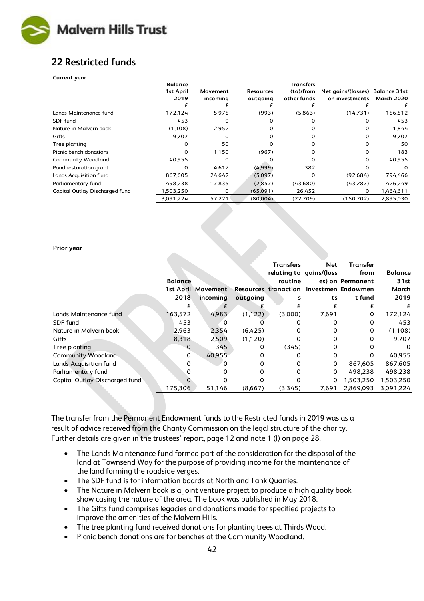

## **22 Restricted funds**

#### **Current year**

|                                | <b>Balance</b>    |                      |                              | <b>Transfers</b>         |                                                   |                   |
|--------------------------------|-------------------|----------------------|------------------------------|--------------------------|---------------------------------------------------|-------------------|
|                                | 1st April<br>2019 | Movement<br>incoming | <b>Resources</b><br>outgoing | (to)/from<br>other funds | Net gains/(losses) Balance 31st<br>on investments | <b>March 2020</b> |
|                                |                   |                      |                              |                          |                                                   |                   |
| Lands Maintenance fund         | 172,124           | 5,975                | (993)                        | (5,863)                  | (14,731)                                          | 156,512           |
| SDF fund                       | 453               | O                    |                              |                          |                                                   | 453               |
| Nature in Malvern book         | (1,108)           | 2,952                |                              |                          |                                                   | 1,844             |
| Gifts                          | 9,707             | 0                    |                              |                          |                                                   | 9,707             |
| Tree planting                  |                   | 50                   |                              |                          |                                                   | 50                |
| Picnic bench donations         |                   | 1,150                | (967)                        |                          |                                                   | 183               |
| Community Woodland             | 40,955            | $\Omega$             |                              |                          |                                                   | 40,955            |
| Pond restoration grant         |                   | 4,617                | (4,999)                      | 382                      |                                                   | 0                 |
| Lands Acquisition fund         | 867,605           | 24,642               | (5,097)                      | 0                        | (92,684)                                          | 794,466           |
| Parliamentary fund             | 498,238           | 17,835               | (2,857)                      | (43,680)                 | (43, 287)                                         | 426,249           |
| Capital Outlay Discharged fund | 1,503,250         | 0                    | (65,091)                     | 26,452                   | 0                                                 | 1,464,611         |
|                                | 3,091,224         | 57,221               | (80,004)                     | (22,709)                 | (150,702)                                         | 2,895,030         |

#### **Prior year**

|                                |                |                    |          | <b>Transfers</b>                        | Net                     | <b>Transfer</b>  |                |
|--------------------------------|----------------|--------------------|----------|-----------------------------------------|-------------------------|------------------|----------------|
|                                |                |                    |          |                                         | relating to gains/(loss | from             | <b>Balance</b> |
|                                | <b>Balance</b> |                    |          | routine                                 |                         | es) on Permanent | 31st           |
|                                |                | 1st April Movement |          | Resources tranaction investmen Endowmen |                         |                  | March          |
|                                | 2018           | incoming           | outgoing | s                                       | ts                      | t fund           | 2019           |
|                                | £              | £                  |          |                                         | £                       | £                | £              |
| Lands Maintenance fund         | 163,572        | 4,983              | (1, 122) | (3,000)                                 | 7,691                   | 0                | 172,124        |
| SDF fund                       | 453            |                    |          |                                         |                         | 0                | 453            |
| Nature in Malvern book         | 2,963          | 2,354              | (6,425)  | 0                                       | 0                       | 0                | (1,108)        |
| Gifts                          | 8,318          | 2,509              | (1,120)  | 0                                       | 0                       | 0                | 9.707          |
| Tree planting                  | 0              | 345                | 0        | (345)                                   | 0                       | 0                | $\Omega$       |
| <b>Community Woodland</b>      | 0              | 40,955             | 0        | 0                                       | 0                       | 0                | 40,955         |
| Lands Acquisition fund         | 0              | O.                 |          |                                         | 0                       | 867.605          | 867,605        |
| Parliamentary fund             | 0              |                    |          | 0                                       | $\Omega$                | 498.238          | 498,238        |
| Capital Outlay Discharged fund | 0              | o                  | O        | Ω                                       | 0                       | 1,503,250        | 1,503,250      |
|                                | 175,306        | 51,146             | (8,667)  | (3,345)                                 | 7,691                   | 2,869,093        | 3.091.224      |

The transfer from the Permanent Endowment funds to the Restricted funds in 2019 was as a result of advice received from the Charity Commission on the legal structure of the charity. Further details are given in the trustees' report, page 12 and note 1 (l) on page 28.

- The Lands Maintenance fund formed part of the consideration for the disposal of the land at Townsend Way for the purpose of providing income for the maintenance of the land forming the roadside verges.
- The SDF fund is for information boards at North and Tank Quarries.
- The Nature in Malvern book is a joint venture project to produce a high quality book show casing the nature of the area. The book was published in May 2018.
- The Gifts fund comprises legacies and donations made for specified projects to improve the amenities of the Malvern Hills.
- The tree planting fund received donations for planting trees at Thirds Wood.
- Picnic bench donations are for benches at the Community Woodland.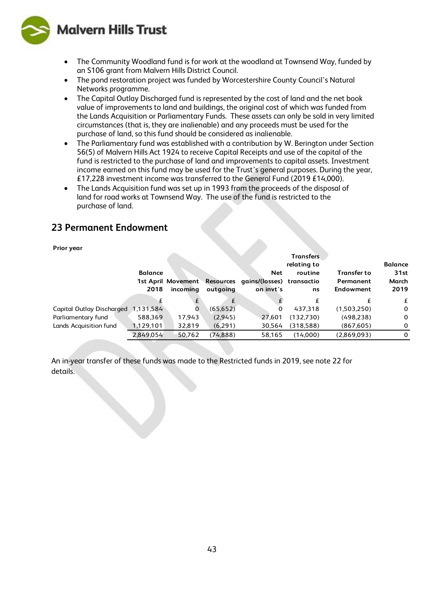**Malvern Hills Trust** 



- The Community Woodland fund is for work at the woodland at Townsend Way, funded by an S106 grant from Malvern Hills District Council.
- The pond restoration project was funded by Worcestershire County Council's Natural Networks programme.
- The Capital Outlay Discharged fund is represented by the cost of land and the net book value of improvements to land and buildings, the original cost of which was funded from the Lands Acquisition or Parliamentary Funds. These assets can only be sold in very limited circumstances (that is, they are inalienable) and any proceeds must be used for the purchase of land, so this fund should be considered as inalienable.
- The Parliamentary fund was established with a contribution by W. Berington under Section 56(5) of Malvern Hills Act 1924 to receive Capital Receipts and use of the capital of the fund is restricted to the purchase of land and improvements to capital assets. Investment income earned on this fund may be used for the Trust's general purposes. During the year, £17,228 investment income was transferred to the General Fund (2019 £14,000).
- The Lands Acquisition fund was set up in 1993 from the proceeds of the disposal of land for road works at Townsend Way. The use of the fund is restricted to the purchase of land.

### **23 Permanent Endowment**

#### **Prior year**

|                           |                |          |           |                                                        | relating to |                    | <b>Balance</b> |
|---------------------------|----------------|----------|-----------|--------------------------------------------------------|-------------|--------------------|----------------|
|                           | <b>Balance</b> |          |           | <b>Net</b>                                             | routine     | <b>Transfer to</b> | 31st           |
|                           |                |          |           | 1st April Movement Resources gains/(losses) transactio |             | Permanent          | March          |
|                           | 2018           | incoming | outgoing  | on invt's                                              | ns          | Endowment          | 2019           |
|                           |                | £.       | £         |                                                        |             |                    | £              |
| Capital Outlay Discharged | 1,131,584      | 0        | (65, 652) | 0                                                      | 437.318     | (1,503,250)        | $\mathbf 0$    |
| Parliamentary fund        | 588,369        | 17,943   | (2.945)   | 27.601                                                 | (132,730)   | (498, 238)         | $\Omega$       |
| Lands Acquisition fund    | 1,129,101      | 32,819   | (6,291)   | 30,564                                                 | (318,588)   | (867, 605)         | $\Omega$       |
|                           | 2,849,054      | 50,762   | (74, 888) | 58.165                                                 | (14.000)    | (2,869,093)        | $\Omega$       |

An in-year transfer of these funds was made to the Restricted funds in 2019, see note 22 for details.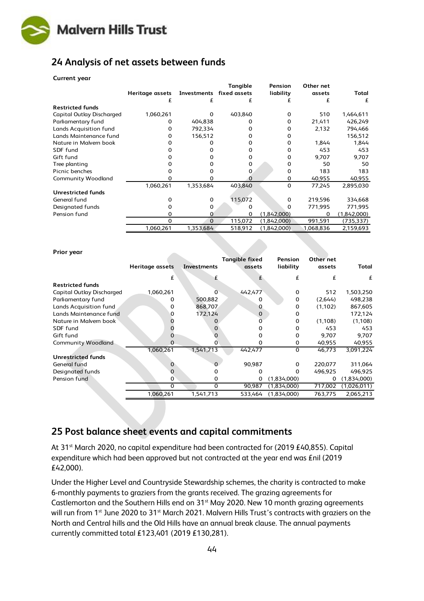

### **24 Analysis of net assets between funds**

| <b>Current year</b> |  |
|---------------------|--|
|---------------------|--|

|                                  |                 |             | Tangible     | <b>Pension</b> | Other net |             |
|----------------------------------|-----------------|-------------|--------------|----------------|-----------|-------------|
|                                  | Heritage assets | Investments | fixed assets | liability      | assets    | Total       |
|                                  | £               | £           | £            |                | £         | £           |
| <b>Restricted funds</b>          |                 |             |              |                |           |             |
| <b>Capital Outlay Discharged</b> | 1,060,261       | 0           | 403,840      | 0              | 510       | 1,464,611   |
| Parliamentary fund               |                 | 404,838     | o            | O.             | 21,411    | 426,249     |
| Lands Acquisition fund           | o               | 792.334     | 0            | U              | 2,132     | 794,466     |
| Lands Maintenance fund           |                 | 156,512     | 0            |                |           | 156,512     |
| Nature in Malvern book           |                 |             | 0            | O              | 1,844     | 1,844       |
| SDF fund                         |                 |             |              |                | 453       | 453         |
| Gift fund                        |                 |             |              | 0              | 9,707     | 9,707       |
| Tree planting                    |                 |             | 0            | o              | 50        | 50          |
| Picnic benches                   |                 |             |              | ŋ              | 183       | 183         |
| <b>Community Woodland</b>        |                 |             |              | 0              | 40,955    | 40,955      |
|                                  | 1,060,261       | 1,353,684   | 403,840      | $\Omega$       | 77,245    | 2,895,030   |
| <b>Unrestricted funds</b>        |                 |             |              |                |           |             |
| General fund                     |                 | 0           | 115,072      | 0              | 219,596   | 334,668     |
| Designated funds                 |                 | O           |              | 0              | 771,995   | 771,995     |
| Pension fund                     |                 | Ω           | 0            | (1,842,000)    | $\Omega$  | (1,842,000) |
|                                  | 0               | $\Omega$    | 115,072      | (1,842,000)    | 991,591   | (735, 337)  |
|                                  | 1,060,261       | 1,353,684   | 518,912      | (1,842,000)    | 1,068,836 | 2,159,693   |

| Prior year                       |                 |             |                                 |                      |                     |             |
|----------------------------------|-----------------|-------------|---------------------------------|----------------------|---------------------|-------------|
|                                  | Heritage assets | Investments | <b>Tangible fixed</b><br>assets | Pension<br>liability | Other net<br>assets | Total       |
|                                  | £               | £           |                                 | £                    | £                   | £           |
| <b>Restricted funds</b>          |                 |             |                                 |                      |                     |             |
| <b>Capital Outlay Discharged</b> | 1,060,261       | 0           | 442,477                         | 0                    | 512                 | 1,503,250   |
| Parliamentary fund               |                 | 500,882     | 0                               | 0                    | (2,644)             | 498,238     |
| Lands Acquisition fund           | 0               | 868,707     | 0                               | 0                    | (1,102)             | 867,605     |
| Lands Maintenance fund           |                 | 172,124     | $\mathbf 0$                     |                      |                     | 172,124     |
| Nature in Malvern book           |                 |             |                                 | 0                    | (1,108)             | (1,108)     |
| SDF fund                         |                 |             |                                 | Ω                    | 453                 | 453         |
| Gift fund                        |                 | o           |                                 | 0                    | 9,707               | 9,707       |
| <b>Community Woodland</b>        |                 | o           | 0                               | 0                    | 40,955              | 40,955      |
|                                  | 1,060,261       | 1,541,713   | 442,477                         | $\Omega$             | 46,773              | 3,091,224   |
| <b>Unrestricted funds</b>        |                 |             |                                 |                      |                     |             |
| General fund                     | 0               | O.          | 90,987                          | 0                    | 220,077             | 311,064     |
| Designated funds                 | 0               |             | 0                               | O                    | 496,925             | 496,925     |
| Pension fund                     | 0               | 0           | 0                               | (1,834,000)          | 0                   | (1,834,000) |
|                                  | $\mathbf 0$     | 0           | 90,987                          | (1,834,000)          | 717,002             | (1,026,011) |
|                                  | 1,060,261       | 1,541,713   | 533,464                         | (1.834,000)          | 763,775             | 2,065,213   |

### **25 Post balance sheet events and capital commitments**

At 31<sup>st</sup> March 2020, no capital expenditure had been contracted for (2019 £40,855). Capital expenditure which had been approved but not contracted at the year end was £nil (2019 £42,000).

Under the Higher Level and Countryside Stewardship schemes, the charity is contracted to make 6-monthly payments to graziers from the grants received. The grazing agreements for Castlemorton and the Southern Hills end on 31<sup>st</sup> May 2020. New 10 month grazing agreements will run from 1<sup>st</sup> June 2020 to 31<sup>st</sup> March 2021. Malvern Hills Trust's contracts with graziers on the North and Central hills and the Old Hills have an annual break clause. The annual payments currently committed total £123,401 (2019 £130,281).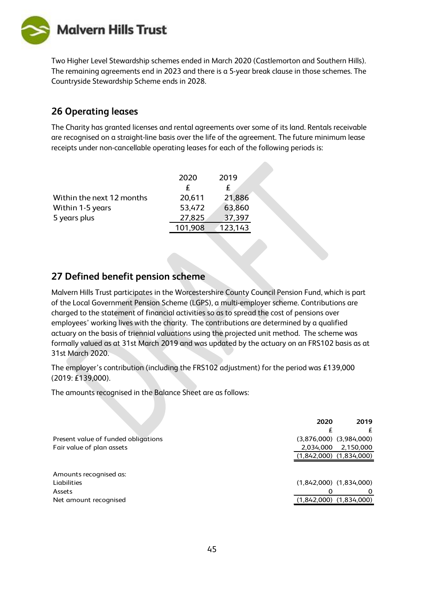**Malvern Hills Trust** 



#### **26 Operating leases**

The Charity has granted licenses and rental agreements over some of its land. Rentals receivable are recognised on a straight-line basis over the life of the agreement. The future minimum lease receipts under non-cancellable operating leases for each of the following periods is:

|                           | 2020    | 2019    |
|---------------------------|---------|---------|
|                           | £       |         |
| Within the next 12 months | 20,611  | 21,886  |
| Within 1-5 years          | 53,472  | 63,860  |
| 5 years plus              | 27,825  | 37,397  |
|                           | 101,908 | 123,143 |

#### **27 Defined benefit pension scheme**

Malvern Hills Trust participates in the Worcestershire County Council Pension Fund, which is part of the Local Government Pension Scheme (LGPS), a multi-employer scheme. Contributions are charged to the statement of financial activities so as to spread the cost of pensions over employees' working lives with the charity. The contributions are determined by a qualified actuary on the basis of triennial valuations using the projected unit method. The scheme was formally valued as at 31st March 2019 and was updated by the actuary on an FRS102 basis as at 31st March 2020.

The employer's contribution (including the FRS102 adjustment) for the period was £139,000 (2019: £139,000).

The amounts recognised in the Balance Sheet are as follows:

|                                     | 2020      | 2019                        |
|-------------------------------------|-----------|-----------------------------|
|                                     | £         |                             |
| Present value of funded obligations |           | $(3,876,000)$ $(3,984,000)$ |
| Fair value of plan assets           | 2,034,000 | 2,150,000                   |
|                                     |           | $(1,842,000)$ $(1,834,000)$ |
|                                     |           |                             |
| Amounts recognised as:              |           |                             |
| Liabilities                         |           | $(1,842,000)$ $(1,834,000)$ |
| <b>Assets</b>                       |           |                             |
| Net amount recognised               |           | $(1,842,000)$ $(1,834,000)$ |
|                                     |           |                             |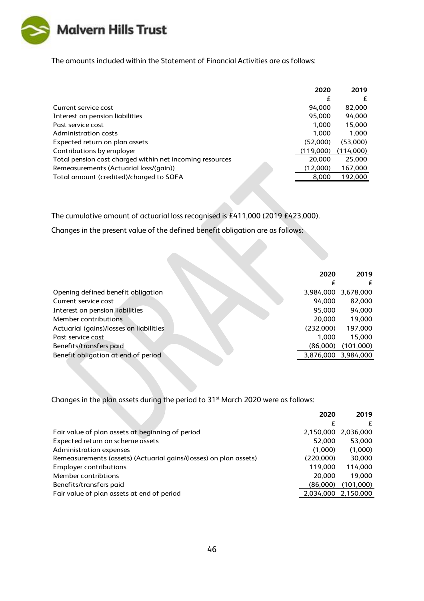

The amounts included within the Statement of Financial Activities are as follows:

|                                                          | 2020      | 2019      |
|----------------------------------------------------------|-----------|-----------|
|                                                          | £         | £         |
| Current service cost                                     | 94.000    | 82,000    |
| Interest on pension liabilities                          | 95,000    | 94,000    |
| Past service cost                                        | 1,000     | 15,000    |
| Administration costs                                     | 1.000     | 1.000     |
| Expected return on plan assets                           | (52,000)  | (53,000)  |
| Contributions by employer                                | (119,000) | (114,000) |
| Total pension cost charged within net incoming resources | 20,000    | 25,000    |
| Remeasurements (Actuarial loss/(gain))                   | (12,000)  | 167,000   |
| Total amount (credited)/charged to SOFA                  | 8,000     | 192,000   |
|                                                          |           |           |

The cumulative amount of actuarial loss recognised is £411,000 (2019 £423,000).

Changes in the present value of the defined benefit obligation are as follows:

|                                         | 2020      | 2019      |
|-----------------------------------------|-----------|-----------|
|                                         |           | £         |
| Opening defined benefit obligation      | 3,984,000 | 3,678,000 |
| Current service cost                    | 94,000    | 82,000    |
| Interest on pension liabilities         | 95,000    | 94,000    |
| Member contributions                    | 20,000    | 19,000    |
| Actuarial (gains)/losses on liabilities | (232,000) | 197,000   |
| Past service cost                       | 1.000     | 15.000    |
| Benefits/transfers paid                 | (86,000)  | (101,000) |
| Benefit obligation at end of period     | 3,876,000 | 3,984,000 |
|                                         |           |           |

Changes in the plan assets during the period to 31<sup>st</sup> March 2020 were as follows:

|                                                                   | 2020      | 2019                |
|-------------------------------------------------------------------|-----------|---------------------|
|                                                                   | £         | £                   |
| Fair value of plan assets at beginning of period                  | 2,150,000 | 2,036,000           |
| Expected return on scheme assets                                  | 52,000    | 53,000              |
| Administration expenses                                           | (1.000)   | (1,000)             |
| Remeasurements (assets) (Actuarial gains/(losses) on plan assets) | (220,000) | 30,000              |
| <b>Employer contributions</b>                                     | 119,000   | 114,000             |
| Member contribtions                                               | 20,000    | 19.000              |
| Benefits/transfers paid                                           | (86,000)  | (101,000)           |
| Fair value of plan assets at end of period                        |           | 2,034,000 2,150,000 |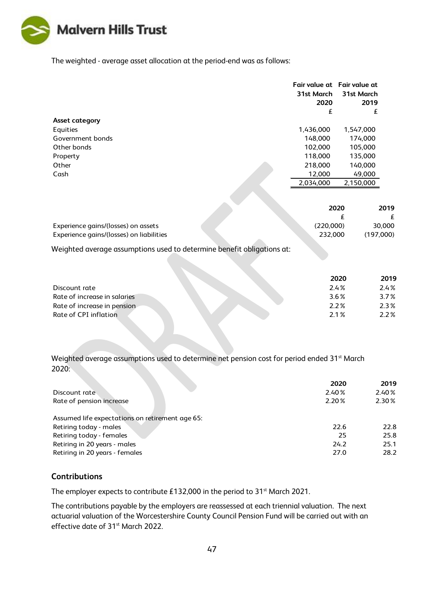

The weighted - average asset allocation at the period-end was as follows:

|                       | 31st March<br>2020 | Fair value at Fair value at<br>31st March<br>2019 |
|-----------------------|--------------------|---------------------------------------------------|
|                       | £                  | £                                                 |
| <b>Asset category</b> |                    |                                                   |
| Equities              | 1,436,000          | 1,547,000                                         |
| Government bonds      | 148,000            | 174,000                                           |
| Other bonds           | 102,000            | 105,000                                           |
| Property              | 118,000            | 135,000                                           |
| Other                 | 218,000            | 140,000                                           |
| Cash                  | 12,000             | 49,000                                            |
|                       | 2.034.000          | 2,150,000                                         |

|                                          |  | 2020      | 2019      |
|------------------------------------------|--|-----------|-----------|
|                                          |  |           |           |
| Experience gains/(losses) on assets      |  | (220.000) | 30,000    |
| Experience gains/(losses) on liabilities |  | 232,000   | (197.000) |

Weighted average assumptions used to determine benefit obligations at:

|                              | 2020 | 2019    |
|------------------------------|------|---------|
| Discount rate                | 2.4% | 2.4%    |
| Rate of increase in salaries | 3.6% | $3.7\%$ |
| Rate of increase in pension  | 2.2% | $2.3\%$ |
| Rate of CPI inflation        | 21%  | $2.2\%$ |

Weighted average assumptions used to determine net pension cost for period ended 31<sup>st</sup> March 2020:

|                                                 | 2020  | 2019  |
|-------------------------------------------------|-------|-------|
| Discount rate                                   | 2.40% | 2.40% |
| Rate of pension increase                        | 2.20% | 2.30% |
| Assumed life expectations on retirement age 65: |       |       |
| Retiring today - males                          | 22.6  | 22.8  |
| Retiring today - females                        | 25    | 25.8  |
| Retiring in 20 years - males                    | 24.2  | 25.1  |
| Retiring in 20 years - females                  | 27.0  | 28.2  |

#### **Contributions**

The employer expects to contribute £132,000 in the period to 31<sup>st</sup> March 2021.

The contributions payable by the employers are reassessed at each triennial valuation. The next actuarial valuation of the Worcestershire County Council Pension Fund will be carried out with an effective date of 31<sup>st</sup> March 2022.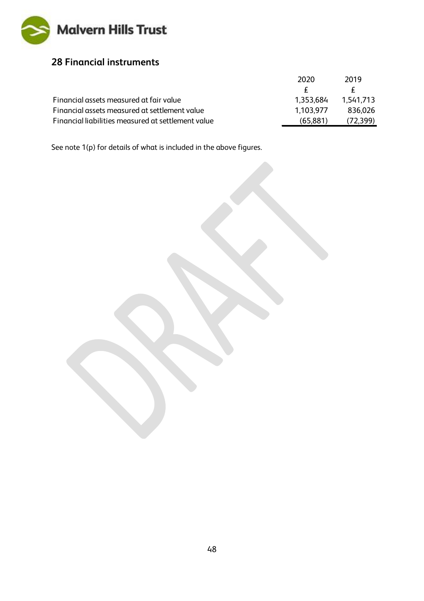

### **28 Financial instruments**

|                                                    | 2020      | 2019      |
|----------------------------------------------------|-----------|-----------|
|                                                    |           |           |
| Financial assets measured at fair value            | 1,353,684 | 1.541.713 |
| Financial assets measured at settlement value      | 1.103.977 | 836.026   |
| Financial liabilities measured at settlement value | (65, 881) | (72, 399) |
|                                                    |           |           |

See note 1(p) for details of what is included in the above figures.